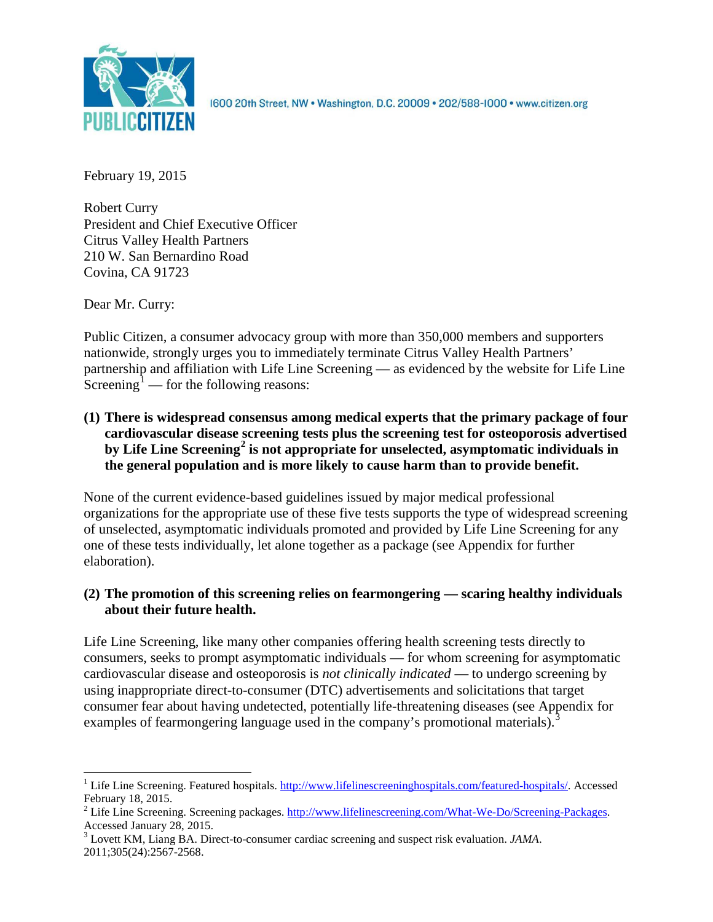

1600 20th Street, NW . Washington, D.C. 20009 . 202/588-1000 . www.citizen.org

February 19, 2015

Robert Curry President and Chief Executive Officer Citrus Valley Health Partners 210 W. San Bernardino Road Covina, CA 91723

Dear Mr. Curry:

Public Citizen, a consumer advocacy group with more than 350,000 members and supporters nationwide, strongly urges you to immediately terminate Citrus Valley Health Partners' partnership and affiliation with Life Line Screening — as evidenced by the website for Life Line Screening<sup>[1](#page-0-0)</sup> — for the following reasons:

**(1) There is widespread consensus among medical experts that the primary package of four cardiovascular disease screening tests plus the screening test for osteoporosis advertised by Life Line Screening[2](#page-0-1) is not appropriate for unselected, asymptomatic individuals in the general population and is more likely to cause harm than to provide benefit.**

None of the current evidence-based guidelines issued by major medical professional organizations for the appropriate use of these five tests supports the type of widespread screening of unselected, asymptomatic individuals promoted and provided by Life Line Screening for any one of these tests individually, let alone together as a package (see Appendix for further elaboration).

# **(2) The promotion of this screening relies on fearmongering — scaring healthy individuals about their future health.**

Life Line Screening, like many other companies offering health screening tests directly to consumers, seeks to prompt asymptomatic individuals — for whom screening for asymptomatic cardiovascular disease and osteoporosis is *not clinically indicated* — to undergo screening by using inappropriate direct-to-consumer (DTC) advertisements and solicitations that target consumer fear about having undetected, potentially life-threatening diseases (see Appendix for examples of fearmongering language used in the company's promotional materials).<sup>[3](#page-0-2)</sup>

<span id="page-0-0"></span><sup>&</sup>lt;sup>1</sup> Life Line Screening. Featured hospitals. [http://www.lifelinescreeninghospitals.com/featured-hospitals/.](http://www.lifelinescreeninghospitals.com/featured-hospitals/) Accessed

<span id="page-0-1"></span>February 18, 2015.<br><sup>2</sup> Life Line Screening. Screening packages. [http://www.lifelinescreening.com/What-We-Do/Screening-Packages.](http://www.lifelinescreening.com/What-We-Do/Screening-Packages)<br>Accessed January 28, 2015.

<span id="page-0-2"></span><sup>&</sup>lt;sup>3</sup> Lovett KM, Liang BA. Direct-to-consumer cardiac screening and suspect risk evaluation. *JAMA*. 2011;305(24):2567-2568.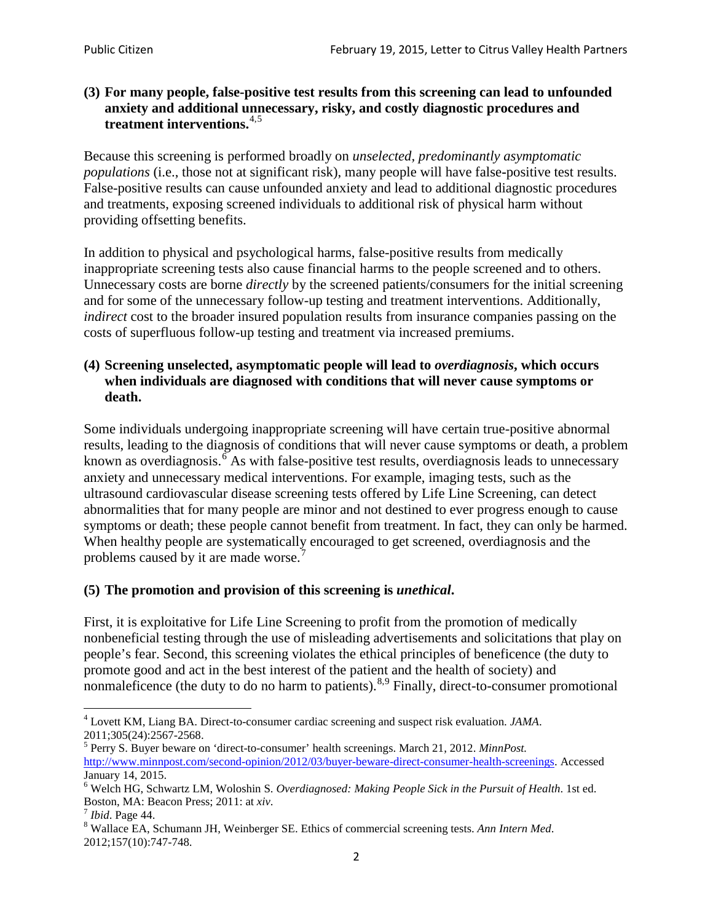### **(3) For many people, false-positive test results from this screening can lead to unfounded anxiety and additional unnecessary, risky, and costly diagnostic procedures and treatment interventions.**[4](#page-1-0),[5](#page-1-1)

Because this screening is performed broadly on *unselected, predominantly asymptomatic populations* (i.e., those not at significant risk), many people will have false**-**positive test results. False-positive results can cause unfounded anxiety and lead to additional diagnostic procedures and treatments, exposing screened individuals to additional risk of physical harm without providing offsetting benefits.

In addition to physical and psychological harms, false-positive results from medically inappropriate screening tests also cause financial harms to the people screened and to others. Unnecessary costs are borne *directly* by the screened patients/consumers for the initial screening and for some of the unnecessary follow-up testing and treatment interventions. Additionally, *indirect* cost to the broader insured population results from insurance companies passing on the costs of superfluous follow-up testing and treatment via increased premiums.

### **(4) Screening unselected, asymptomatic people will lead to** *overdiagnosis***, which occurs when individuals are diagnosed with conditions that will never cause symptoms or death.**

Some individuals undergoing inappropriate screening will have certain true-positive abnormal results, leading to the diagnosis of conditions that will never cause symptoms or death, a problem known as overdiagnosis.<sup>[6](#page-1-2)</sup> As with false-positive test results, overdiagnosis leads to unnecessary anxiety and unnecessary medical interventions. For example, imaging tests, such as the ultrasound cardiovascular disease screening tests offered by Life Line Screening, can detect abnormalities that for many people are minor and not destined to ever progress enough to cause symptoms or death; these people cannot benefit from treatment. In fact, they can only be harmed. When healthy people are systematically encouraged to get screened, overdiagnosis and the problems caused by it are made worse.<sup>[7](#page-1-3)</sup>

## **(5) The promotion and provision of this screening is** *unethical***.**

First, it is exploitative for Life Line Screening to profit from the promotion of medically nonbeneficial testing through the use of misleading advertisements and solicitations that play on people's fear. Second, this screening violates the ethical principles of beneficence (the duty to promote good and act in the best interest of the patient and the health of society) and nonmaleficence (the duty to do no harm to patients).  $8.9$  $8.9$  $8.9$  Finally, direct-to-consumer promotional

<span id="page-1-4"></span>2012;157(10):747-748.

<span id="page-1-5"></span><span id="page-1-0"></span><sup>4</sup> Lovett KM, Liang BA. Direct-to-consumer cardiac screening and suspect risk evaluation. *JAMA*.

<span id="page-1-1"></span><sup>2011;305(24):2567-2568.</sup> <sup>5</sup> Perry S. Buyer beware on 'direct-to-consumer' health screenings. March 21, 2012. *MinnPost.*  [http://www.minnpost.com/second-opinion/2012/03/buyer-beware-direct-consumer-health-screenings.](http://www.minnpost.com/second-opinion/2012/03/buyer-beware-direct-consumer-health-screenings) Accessed January 14, 2015.

<span id="page-1-2"></span><sup>6</sup> Welch HG, Schwartz LM, Woloshin S. *Overdiagnosed: Making People Sick in the Pursuit of Health*. 1st ed. Boston, MA: Beacon Press; 2011: at *xiv*.<br><sup>7</sup> *Ibid*. Page 44.<br><sup>8</sup> Wallace EA, Schumann JH, Weinberger SE. Ethics of commercial screening tests. *Ann Intern Med*.

<span id="page-1-3"></span>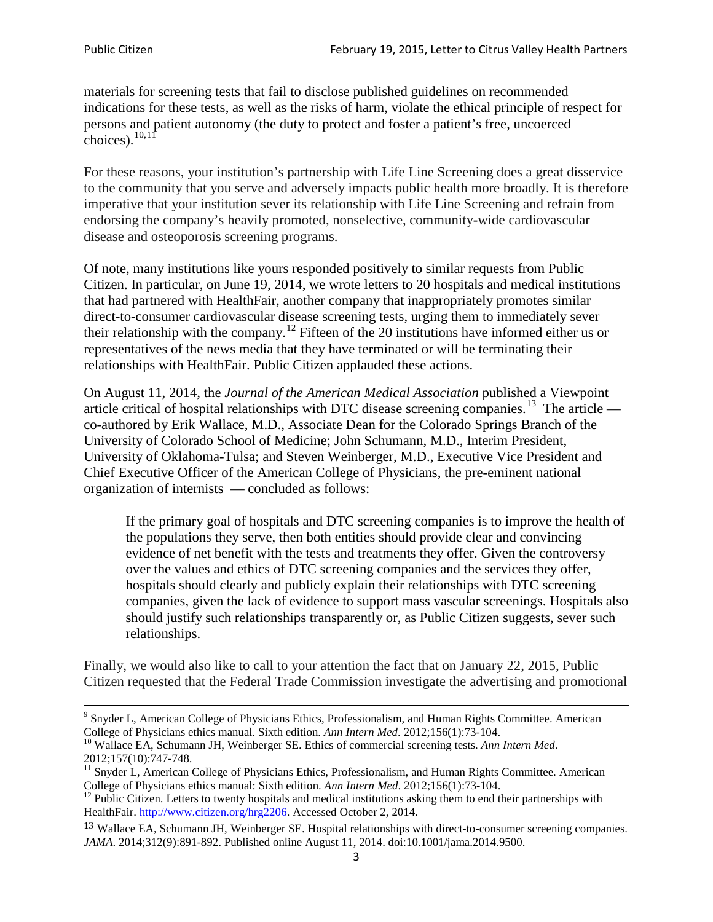materials for screening tests that fail to disclose published guidelines on recommended indications for these tests, as well as the risks of harm, violate the ethical principle of respect for persons and patient autonomy (the duty to protect and foster a patient's free, uncoerced choices). $\frac{10,11}{10,11}$  $\frac{10,11}{10,11}$  $\frac{10,11}{10,11}$  $\frac{10,11}{10,11}$ 

For these reasons, your institution's partnership with Life Line Screening does a great disservice to the community that you serve and adversely impacts public health more broadly. It is therefore imperative that your institution sever its relationship with Life Line Screening and refrain from endorsing the company's heavily promoted, nonselective, community**-**wide cardiovascular disease and osteoporosis screening programs.

Of note, many institutions like yours responded positively to similar requests from Public Citizen. In particular, on June 19, 2014, we wrote letters to 20 hospitals and medical institutions that had partnered with HealthFair, another company that inappropriately promotes similar direct-to-consumer cardiovascular disease screening tests, urging them to immediately sever their relationship with the company. [12](#page-2-2) Fifteen of the 20 institutions have informed either us or representatives of the news media that they have terminated or will be terminating their relationships with HealthFair. Public Citizen applauded these actions.

On August 11, 2014, the *Journal of the American Medical Association* published a Viewpoint article critical of hospital relationships with DTC disease screening companies.<sup>13</sup> The article co-authored by Erik Wallace, M.D., Associate Dean for the Colorado Springs Branch of the University of Colorado School of Medicine; John Schumann, M.D., Interim President, University of Oklahoma-Tulsa; and Steven Weinberger, M.D., Executive Vice President and Chief Executive Officer of the American College of Physicians, the pre**-**eminent national organization of internists — concluded as follows:

If the primary goal of hospitals and DTC screening companies is to improve the health of the populations they serve, then both entities should provide clear and convincing evidence of net benefit with the tests and treatments they offer. Given the controversy over the values and ethics of DTC screening companies and the services they offer, hospitals should clearly and publicly explain their relationships with DTC screening companies, given the lack of evidence to support mass vascular screenings. Hospitals also should justify such relationships transparently or, as Public Citizen suggests, sever such relationships.

Finally, we would also like to call to your attention the fact that on January 22, 2015, Public Citizen requested that the Federal Trade Commission investigate the advertising and promotional

<sup>&</sup>lt;sup>9</sup> Snyder L, American College of Physicians Ethics, Professionalism, and Human Rights Committee. American College of Physicians ethics manual. Sixth edition. Ann Intern Med. 2012;156(1):73-104.

<span id="page-2-0"></span><sup>&</sup>lt;sup>10</sup> Wallace EA, Schumann JH, Weinberger SE. Ethics of commercial screening tests. *Ann Intern Med*. 2012;157(10):747-748.

<span id="page-2-1"></span> $11$  Snyder L, American College of Physicians Ethics, Professionalism, and Human Rights Committee. American College of Physicians ethics manual: Sixth edition. *Ann Intern Med*. 2012;156(1):73-104.<br><sup>12</sup> Public Citizen. Letters to twenty hospitals and medical institutions asking them to end their partnerships with

<span id="page-2-2"></span>HealthFair. [http://www.citizen.org/hrg2206.](http://www.citizen.org/hrg2206) Accessed October 2, 2014.

<span id="page-2-3"></span><sup>13</sup> Wallace EA, Schumann JH, Weinberger SE. Hospital relationships with direct-to-consumer screening companies. *JAMA*. 2014;312(9):891-892. Published online August 11, 2014. doi:10.1001/jama.2014.9500.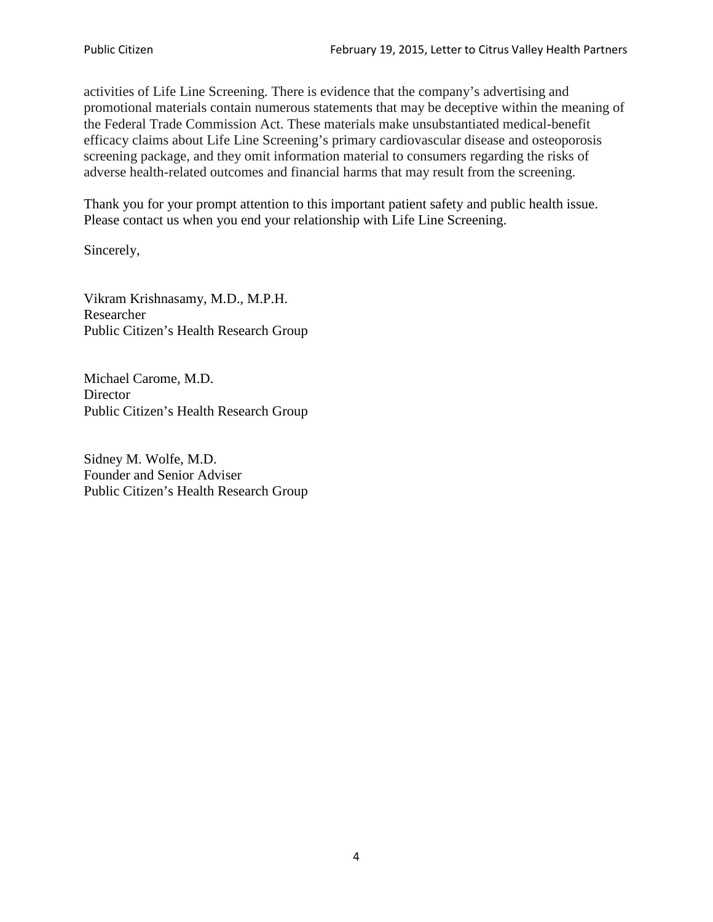activities of Life Line Screening. There is evidence that the company's advertising and promotional materials contain numerous statements that may be deceptive within the meaning of the Federal Trade Commission Act. These materials make unsubstantiated medical-benefit efficacy claims about Life Line Screening's primary cardiovascular disease and osteoporosis screening package, and they omit information material to consumers regarding the risks of adverse health-related outcomes and financial harms that may result from the screening.

Thank you for your prompt attention to this important patient safety and public health issue. Please contact us when you end your relationship with Life Line Screening.

Sincerely,

Vikram Krishnasamy, M.D., M.P.H. Researcher Public Citizen's Health Research Group

Michael Carome, M.D. **Director** Public Citizen's Health Research Group

Sidney M. Wolfe, M.D. Founder and Senior Adviser Public Citizen's Health Research Group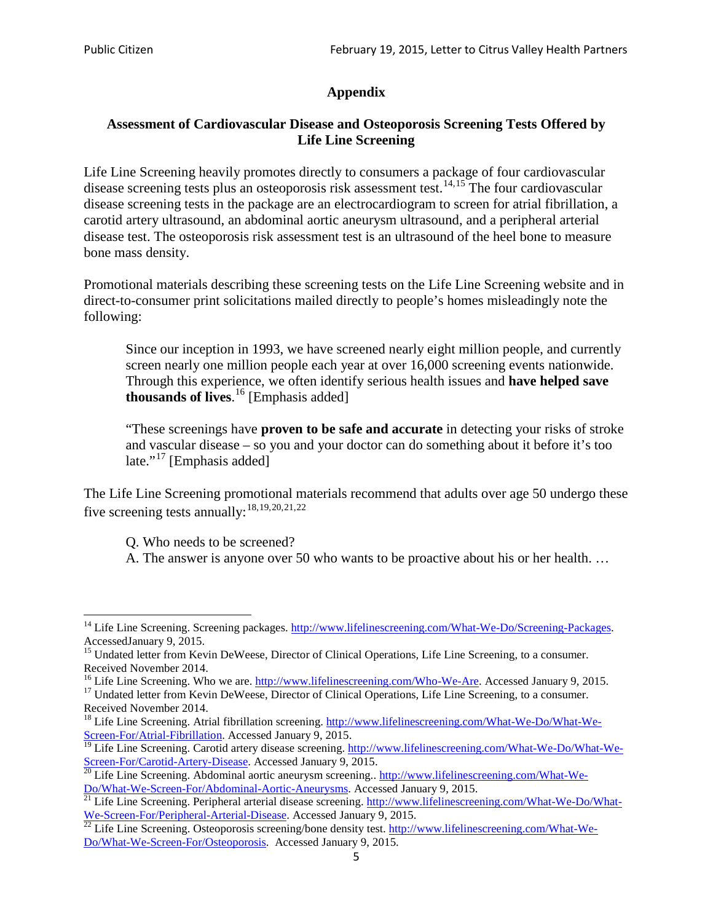# **Appendix**

### **Assessment of Cardiovascular Disease and Osteoporosis Screening Tests Offered by Life Line Screening**

Life Line Screening heavily promotes directly to consumers a package of four cardiovascular disease screening tests plus an osteoporosis risk assessment test.<sup>[14](#page-4-0),[15](#page-4-1)</sup> The four cardiovascular disease screening tests in the package are an electrocardiogram to screen for atrial fibrillation, a carotid artery ultrasound, an abdominal aortic aneurysm ultrasound, and a peripheral arterial disease test. The osteoporosis risk assessment test is an ultrasound of the heel bone to measure bone mass density.

Promotional materials describing these screening tests on the Life Line Screening website and in direct-to-consumer print solicitations mailed directly to people's homes misleadingly note the following:

Since our inception in 1993, we have screened nearly eight million people, and currently screen nearly one million people each year at over 16,000 screening events nationwide. Through this experience, we often identify serious health issues and **have helped save thousands of lives**. [16](#page-4-2) [Emphasis added]

"These screenings have **proven to be safe and accurate** in detecting your risks of stroke and vascular disease – so you and your doctor can do something about it before it's too late."<sup>[17](#page-4-3)</sup> [Emphasis added]

The Life Line Screening promotional materials recommend that adults over age 50 undergo these five screening tests annually:<sup>[18](#page-4-4),[19,](#page-4-5)[20,](#page-4-6)[21](#page-4-7),[22](#page-4-8)</sup>

Q. Who needs to be screened?

A. The answer is anyone over 50 who wants to be proactive about his or her health. …

Received November 2014.<br><sup>16</sup> Life Line Screening. Who we are. http://www.lifelinescreening.com/Who-We-Are. Accessed January 9, 2015.

<span id="page-4-3"></span><span id="page-4-2"></span><sup>17</sup> Undated letter from Kevin DeWeese, Director of Clinical Operations, Life Line Screening, to a consumer. Received November 2014.

<span id="page-4-0"></span><sup>&</sup>lt;sup>14</sup> Life Line Screening. Screening packages. [http://www.lifelinescreening.com/What-We-Do/Screening-Packages.](http://www.lifelinescreening.com/What-We-Do/Screening-Packages) AccessedJanuary 9, 2015.

<span id="page-4-1"></span><sup>&</sup>lt;sup>15</sup> Undated letter from Kevin DeWeese, Director of Clinical Operations, Life Line Screening, to a consumer.

<span id="page-4-4"></span><sup>&</sup>lt;sup>18</sup> Life Line Screening. Atrial fibrillation screening. [http://www.lifelinescreening.com/What-We-Do/What-We-](http://www.lifelinescreening.com/What-We-Do/What-We-Screen-For/Atrial-Fibrillation)[Screen-For/Atrial-Fibrillation.](http://www.lifelinescreening.com/What-We-Do/What-We-Screen-For/Atrial-Fibrillation) Accessed January 9, 2015.

<sup>&</sup>lt;sup>19</sup> Life Line Screening. Carotid artery disease screening. [http://www.lifelinescreening.com/What-We-Do/What-We-](http://www.lifelinescreening.com/What-We-Do/What-We-Screen-For/Carotid-Artery-Disease)

<span id="page-4-6"></span><span id="page-4-5"></span>[Screen-For/Carotid-Artery-Disease.](http://www.lifelinescreening.com/What-We-Do/What-We-Screen-For/Carotid-Artery-Disease) Accessed January 9, 2015.<br><sup>20</sup> Life Line Screening. Abdominal aortic aneurysm screening.. http://www.lifelinescreening.com/What-We-<br>Do/What-We-Screen-For/Abdominal-Aortic-Aneurysms. Acces

<span id="page-4-7"></span> $\frac{1}{21}$  Life Line Screening. Peripheral arterial disease screening. [http://www.lifelinescreening.com/What-We-Do/What-](http://www.lifelinescreening.com/What-We-Do/What-We-Screen-For/Peripheral-Arterial-Disease)

<span id="page-4-8"></span>[We-Screen-For/Peripheral-Arterial-Disease.](http://www.lifelinescreening.com/What-We-Do/What-We-Screen-For/Peripheral-Arterial-Disease) Accessed January 9, 2015.<br><sup>22</sup> Life Line Screening. Osteoporosis screening/bone density test. [http://www.lifelinescreening.com/What-We-](http://www.lifelinescreening.com/What-We-Do/What-We-Screen-For/Osteoporosis)[Do/What-We-Screen-For/Osteoporosis.](http://www.lifelinescreening.com/What-We-Do/What-We-Screen-For/Osteoporosis) Accessed January 9, 2015.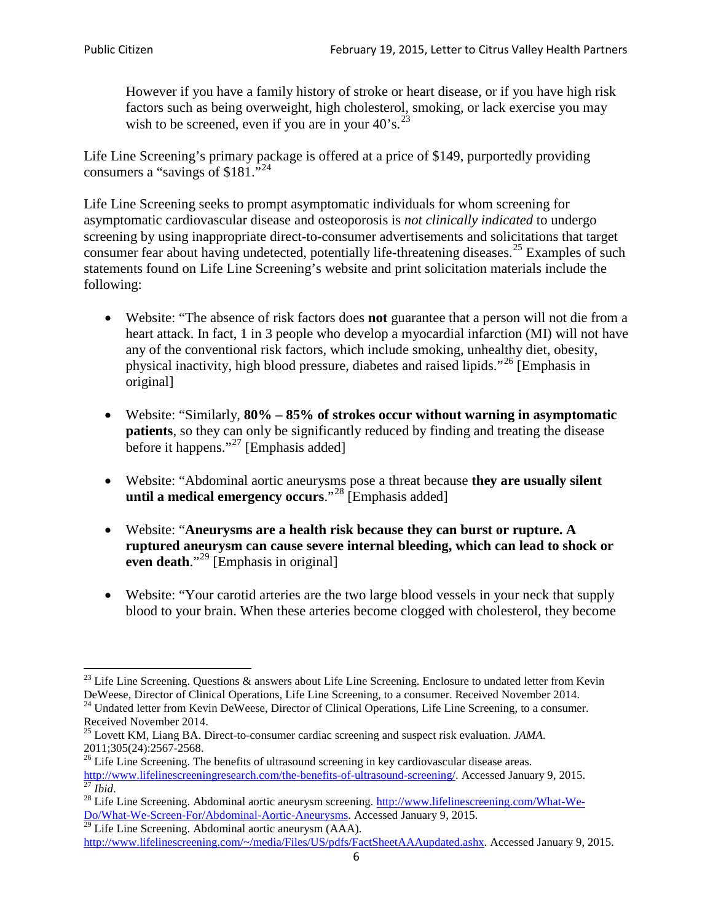However if you have a family history of stroke or heart disease, or if you have high risk factors such as being overweight, high cholesterol, smoking, or lack exercise you may wish to be screened, even if you are in your  $40^\circ$ s.<sup>[23](#page-5-0)</sup>

Life Line Screening's primary package is offered at a price of \$149, purportedly providing consumers a "savings of \$181."[24](#page-5-1)

Life Line Screening seeks to prompt asymptomatic individuals for whom screening for asymptomatic cardiovascular disease and osteoporosis is *not clinically indicated* to undergo screening by using inappropriate direct-to-consumer advertisements and solicitations that target consumer fear about having undetected, potentially life-threatening diseases.<sup>[25](#page-5-2)</sup> Examples of such statements found on Life Line Screening's website and print solicitation materials include the following:

- Website: "The absence of risk factors does **not** guarantee that a person will not die from a heart attack. In fact, 1 in 3 people who develop a myocardial infarction (MI) will not have any of the conventional risk factors, which include smoking, unhealthy diet, obesity, physical inactivity, high blood pressure, diabetes and raised lipids."[26](#page-5-3) [Emphasis in original]
- Website: "Similarly, **80% – 85% of strokes occur without warning in asymptomatic patients**, so they can only be significantly reduced by finding and treating the disease before it happens."<sup>[27](#page-5-4)</sup> [Emphasis added]
- Website: "Abdominal aortic aneurysms pose a threat because **they are usually silent until a medical emergency occurs**."[28](#page-5-5) [Emphasis added]
- Website: "**Aneurysms are a health risk because they can burst or rupture. A ruptured aneurysm can cause severe internal bleeding, which can lead to shock or even death.**"<sup>[29](#page-5-6)</sup> [Emphasis in original]
- Website: "Your carotid arteries are the two large blood vessels in your neck that supply blood to your brain. When these arteries become clogged with cholesterol, they become

<span id="page-5-0"></span><sup>&</sup>lt;sup>23</sup> Life Line Screening. Questions  $\&$  answers about Life Line Screening. Enclosure to undated letter from Kevin DeWeese, Director of Clinical Operations, Life Line Screening, to a consumer. Received November 2014.

<sup>&</sup>lt;sup>24</sup> Undated letter from Kevin DeWeese, Director of Clinical Operations, Life Line Screening, to a consumer.

<span id="page-5-2"></span><span id="page-5-1"></span>Received November 2014.<br><sup>25</sup> Lovett KM, Liang BA. Direct-to-consumer cardiac screening and suspect risk evaluation. *JAMA*.<br>2011;305(24):2567-2568.

<span id="page-5-3"></span> $26$  Life Line Screening. The benefits of ultrasound screening in key cardiovascular disease areas. [http://www.lifelinescreeningresearch.com/the-benefits-of-ultrasound-screening/.](http://www.lifelinescreeningresearch.com/the-benefits-of-ultrasound-screening/) Accessed January 9, 2015.<br><sup>28</sup> Life Line Screening. Abdominal aortic aneurysm screening. http://www.lifelinescreening.com/What-We-<sup>28</sup>

<span id="page-5-5"></span><span id="page-5-4"></span>[Do/What-We-Screen-For/Abdominal-Aortic-Aneurysms.](http://www.lifelinescreening.com/What-We-Do/What-We-Screen-For/Abdominal-Aortic-Aneurysms) Accessed January 9, 2015. <sup>29</sup> Life Line Screening. Abdominal aortic aneurysm (AAA).

<span id="page-5-6"></span>[http://www.lifelinescreening.com/~/media/Files/US/pdfs/FactSheetAAAupdated.ashx.](http://www.lifelinescreening.com/~/media/Files/US/pdfs/FactSheetAAAupdated.ashx) Accessed January 9, 2015.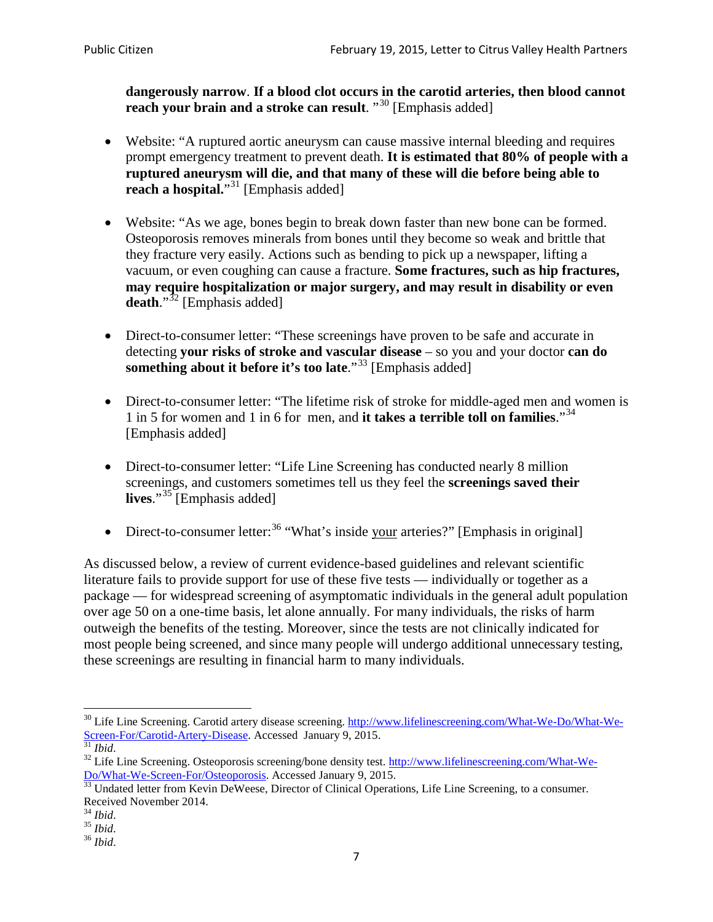**dangerously narrow**. **If a blood clot occurs in the carotid arteries, then blood cannot reach your brain and a stroke can result**. "<sup>[30](#page-6-0)</sup> [Emphasis added]

- Website: "A ruptured aortic aneurysm can cause massive internal bleeding and requires prompt emergency treatment to prevent death. **It is estimated that 80% of people with a ruptured aneurysm will die, and that many of these will die before being able to reach a hospital.**"<sup>[31](#page-6-1)</sup> [Emphasis added]
- Website: "As we age, bones begin to break down faster than new bone can be formed. Osteoporosis removes minerals from bones until they become so weak and brittle that they fracture very easily. Actions such as bending to pick up a newspaper, lifting a vacuum, or even coughing can cause a fracture. **Some fractures, such as hip fractures, may require hospitalization or major surgery, and may result in disability or even**  death."<sup>[32](#page-6-2)</sup> [Emphasis added]
- Direct-to-consumer letter: "These screenings have proven to be safe and accurate in detecting **your risks of stroke and vascular disease** – so you and your doctor **can do something about it before it's too late**."<sup>[33](#page-6-3)</sup> [Emphasis added]
- Direct-to-consumer letter: "The lifetime risk of stroke for middle-aged men and women is 1 in 5 for women and 1 in 6 for men, and **it takes a terrible toll on families**."[34](#page-6-4) [Emphasis added]
- Direct-to-consumer letter: "Life Line Screening has conducted nearly 8 million screenings, and customers sometimes tell us they feel the **screenings saved their lives**."[35](#page-6-5) [Emphasis added]
- Direct-to-consumer letter:  $36$  "What's inside your arteries?" [Emphasis in original]

As discussed below, a review of current evidence-based guidelines and relevant scientific literature fails to provide support for use of these five tests — individually or together as a package — for widespread screening of asymptomatic individuals in the general adult population over age 50 on a one-time basis, let alone annually. For many individuals, the risks of harm outweigh the benefits of the testing. Moreover, since the tests are not clinically indicated for most people being screened, and since many people will undergo additional unnecessary testing, these screenings are resulting in financial harm to many individuals.

<span id="page-6-0"></span><sup>&</sup>lt;sup>30</sup> Life Line Screening. Carotid artery disease screening. [http://www.lifelinescreening.com/What-We-Do/What-We-](http://www.lifelinescreening.com/What-We-Do/What-We-Screen-For/Carotid-Artery-Disease)[Screen-For/Carotid-Artery-Disease.](http://www.lifelinescreening.com/What-We-Do/What-We-Screen-For/Carotid-Artery-Disease) Accessed January 9, 2015.<br><sup>31</sup> *Ibid.* 32 Life Line Screening. Osteoporosis screening/bone density test. [http://www.lifelinescreening.com/What-We-](http://www.lifelinescreening.com/What-We-Do/What-We-Screen-For/Osteoporosis)

<span id="page-6-2"></span><span id="page-6-1"></span>[Do/What-We-Screen-For/Osteoporosis.](http://www.lifelinescreening.com/What-We-Do/What-We-Screen-For/Osteoporosis) Accessed January 9, 2015. <sup>33</sup> Undated letter from Kevin DeWeese, Director of Clinical Operations, Life Line Screening, to a consumer.

<span id="page-6-3"></span>Received November 2014.<br><sup>34</sup> Ibid.

<span id="page-6-4"></span>

<span id="page-6-5"></span><sup>34</sup> *Ibid*. 35 *Ibid*. 36 *Ibid*.

<span id="page-6-6"></span>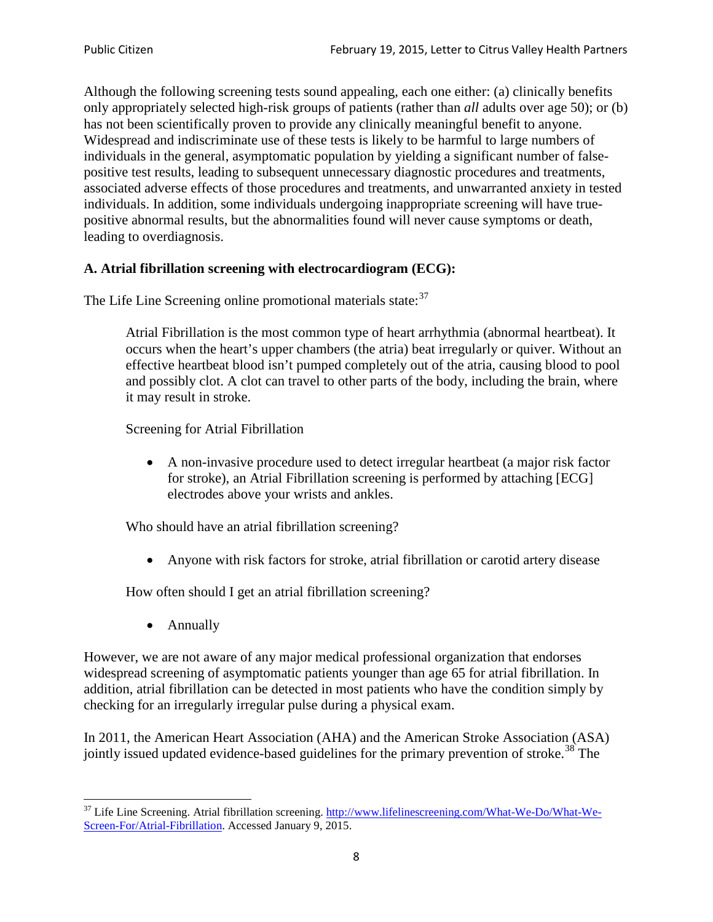Although the following screening tests sound appealing, each one either: (a) clinically benefits only appropriately selected high-risk groups of patients (rather than *all* adults over age 50); or (b) has not been scientifically proven to provide any clinically meaningful benefit to anyone. Widespread and indiscriminate use of these tests is likely to be harmful to large numbers of individuals in the general, asymptomatic population by yielding a significant number of falsepositive test results, leading to subsequent unnecessary diagnostic procedures and treatments, associated adverse effects of those procedures and treatments, and unwarranted anxiety in tested individuals. In addition, some individuals undergoing inappropriate screening will have truepositive abnormal results, but the abnormalities found will never cause symptoms or death, leading to overdiagnosis.

# **A. Atrial fibrillation screening with electrocardiogram (ECG):**

The Life Line Screening online promotional materials state:<sup>[37](#page-7-0)</sup>

Atrial Fibrillation is the most common type of heart arrhythmia (abnormal heartbeat). It occurs when the heart's upper chambers (the atria) beat irregularly or quiver. Without an effective heartbeat blood isn't pumped completely out of the atria, causing blood to pool and possibly clot. A clot can travel to other parts of the body, including the brain, where it may result in stroke.

Screening for Atrial Fibrillation

• A non-invasive procedure used to detect irregular heartbeat (a major risk factor for stroke), an Atrial Fibrillation screening is performed by attaching [ECG] electrodes above your wrists and ankles.

Who should have an atrial fibrillation screening?

• Anyone with risk factors for stroke, atrial fibrillation or carotid artery disease

How often should I get an atrial fibrillation screening?

• Annually

<span id="page-7-1"></span>However, we are not aware of any major medical professional organization that endorses widespread screening of asymptomatic patients younger than age 65 for atrial fibrillation. In addition, atrial fibrillation can be detected in most patients who have the condition simply by checking for an irregularly irregular pulse during a physical exam.

In 2011, the American Heart Association (AHA) and the American Stroke Association (ASA) jointly issued updated evidence-based guidelines for the primary prevention of stroke.<sup>[38](#page-7-1)</sup> The

<span id="page-7-0"></span><sup>&</sup>lt;sup>37</sup> Life Line Screening. Atrial fibrillation screening. [http://www.lifelinescreening.com/What-We-Do/What-We-](http://www.lifelinescreening.com/What-We-Do/What-We-Screen-For/Atrial-Fibrillation)[Screen-For/Atrial-Fibrillation.](http://www.lifelinescreening.com/What-We-Do/What-We-Screen-For/Atrial-Fibrillation) Accessed January 9, 2015.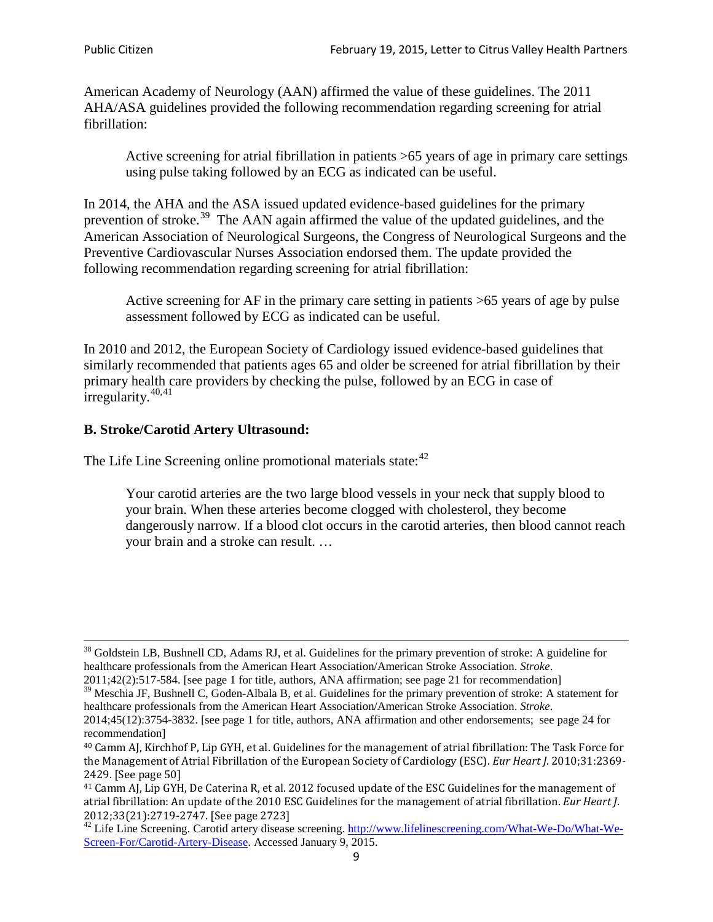American Academy of Neurology (AAN) affirmed the value of these guidelines. The 2011 AHA/ASA guidelines provided the following recommendation regarding screening for atrial fibrillation:

Active screening for atrial fibrillation in patients >65 years of age in primary care settings using pulse taking followed by an ECG as indicated can be useful.

In 2014, the AHA and the ASA issued updated evidence-based guidelines for the primary prevention of stroke.<sup>[39](#page-8-0)</sup> The AAN again affirmed the value of the updated guidelines, and the American Association of Neurological Surgeons, the Congress of Neurological Surgeons and the Preventive Cardiovascular Nurses Association endorsed them. The update provided the following recommendation regarding screening for atrial fibrillation:

Active screening for AF in the primary care setting in patients >65 years of age by pulse assessment followed by ECG as indicated can be useful.

In 2010 and 2012, the European Society of Cardiology issued evidence-based guidelines that similarly recommended that patients ages 65 and older be screened for atrial fibrillation by their primary health care providers by checking the pulse, followed by an ECG in case of irregularity. $40,41$  $40,41$ 

# **B. Stroke/Carotid Artery Ultrasound:**

The Life Line Screening online promotional materials state:<sup>[42](#page-8-3)</sup>

Your carotid arteries are the two large blood vessels in your neck that supply blood to your brain. When these arteries become clogged with cholesterol, they become dangerously narrow. If a blood clot occurs in the carotid arteries, then blood cannot reach your brain and a stroke can result. …

<sup>&</sup>lt;sup>38</sup> Goldstein LB, Bushnell CD, Adams RJ, et al. Guidelines for the primary prevention of stroke: A guideline for healthcare professionals from the American Heart Association/American Stroke Association. *Stroke*.

<sup>2011;42(2):517-584.</sup> [see page 1 for title, authors, ANA affirmation; see page 21 for recommendation]

<span id="page-8-0"></span> $\frac{2011,42(2)(317,601)}{39}$  Meschia JF, Bushnell C, Goden-Albala B, et al. Guidelines for the primary prevention of stroke: A statement for healthcare professionals from the American Heart Association/American Stroke Association. *Stroke*.

<sup>2014;45(12):3754-3832.</sup> [see page 1 for title, authors, ANA affirmation and other endorsements; see page 24 for recommendation]

<span id="page-8-1"></span><sup>40</sup> Camm AJ, Kirchhof P, Lip GYH, et al. Guidelines for the management of atrial fibrillation: The Task Force for the Management of Atrial Fibrillation of the European Society of Cardiology (ESC). *Eur Heart J*. 2010;31:2369- 2429. [See page 50]

<span id="page-8-2"></span><sup>41</sup> Camm AJ, Lip GYH, De Caterina R, et al. 2012 focused update of the ESC Guidelines for the management of atrial fibrillation: An update of the 2010 ESC Guidelines for the management of atrial fibrillation. *Eur Heart J*.

<span id="page-8-3"></span><sup>&</sup>lt;sup>2012</sup>;23(21):2719-2747. [See page 2733] 42 Life Line Screening. [http://www.lifelinescreening.com/What-We-Do/What-We-](http://www.lifelinescreening.com/What-We-Do/What-We-Screen-For/Carotid-Artery-Disease)[Screen-For/Carotid-Artery-Disease.](http://www.lifelinescreening.com/What-We-Do/What-We-Screen-For/Carotid-Artery-Disease) Accessed January 9, 2015.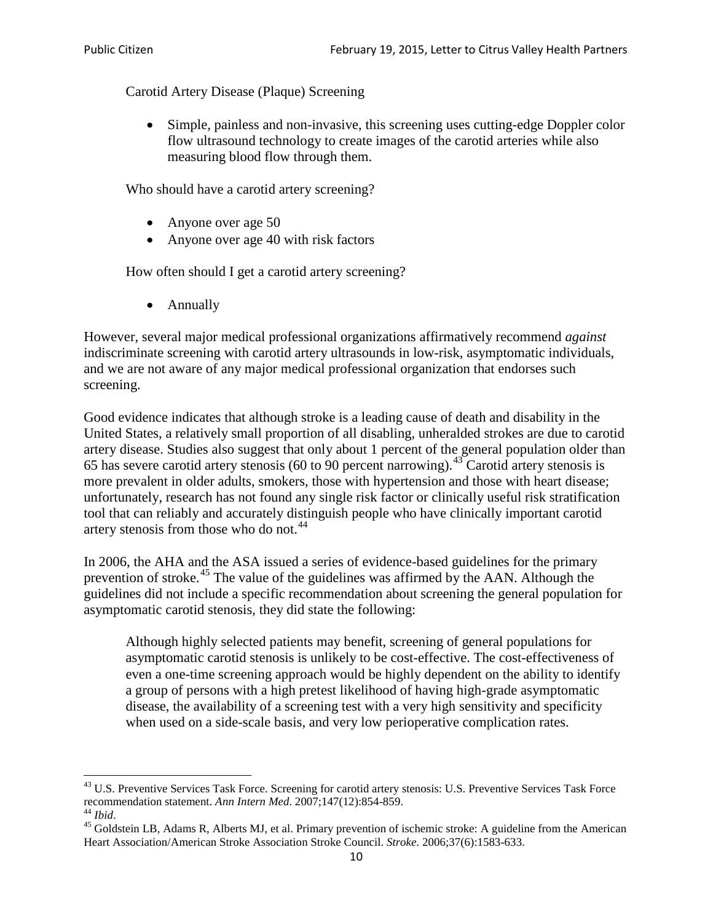Carotid Artery Disease (Plaque) Screening

• Simple, painless and non-invasive, this screening uses cutting-edge Doppler color flow ultrasound technology to create images of the carotid arteries while also measuring blood flow through them.

Who should have a carotid artery screening?

- Anyone over age 50
- Anyone over age 40 with risk factors

How often should I get a carotid artery screening?

• Annually

However, several major medical professional organizations affirmatively recommend *against* indiscriminate screening with carotid artery ultrasounds in low-risk, asymptomatic individuals, and we are not aware of any major medical professional organization that endorses such screening.

Good evidence indicates that although stroke is a leading cause of death and disability in the United States, a relatively small proportion of all disabling, unheralded strokes are due to carotid artery disease. Studies also suggest that only about 1 percent of the general population older than 65 has severe carotid artery stenosis (60 to 90 percent narrowing).<sup>[43](#page-9-0)</sup> Carotid artery stenosis is more prevalent in older adults, smokers, those with hypertension and those with heart disease; unfortunately, research has not found any single risk factor or clinically useful risk stratification tool that can reliably and accurately distinguish people who have clinically important carotid artery stenosis from those who do not.<sup>[44](#page-9-1)</sup>

In 2006, the AHA and the ASA issued a series of evidence-based guidelines for the primary prevention of stroke.<sup>[45](#page-9-2)</sup> The value of the guidelines was affirmed by the AAN. Although the guidelines did not include a specific recommendation about screening the general population for asymptomatic carotid stenosis, they did state the following:

Although highly selected patients may benefit, screening of general populations for asymptomatic carotid stenosis is unlikely to be cost-effective. The cost-effectiveness of even a one-time screening approach would be highly dependent on the ability to identify a group of persons with a high pretest likelihood of having high-grade asymptomatic disease, the availability of a screening test with a very high sensitivity and specificity when used on a side-scale basis, and very low perioperative complication rates.

<span id="page-9-0"></span> $^{43}$  U.S. Preventive Services Task Force. Screening for carotid artery stenosis: U.S. Preventive Services Task Force recommendation statement. Ann Intern Med. 2007;147(12):854-859.

<span id="page-9-2"></span><span id="page-9-1"></span><sup>&</sup>lt;sup>44</sup> *Ibid*. <sup>45</sup> Goldstein LB, Adams R, Alberts MJ, et al. Primary prevention of ischemic stroke: A guideline from the American <sup>45</sup> Goldstein LB, Adams R, Alberts MJ, et al. Primary prevention of ischemic stroke: A guide Heart Association/American Stroke Association Stroke Council. *Stroke*. 2006;37(6):1583-633.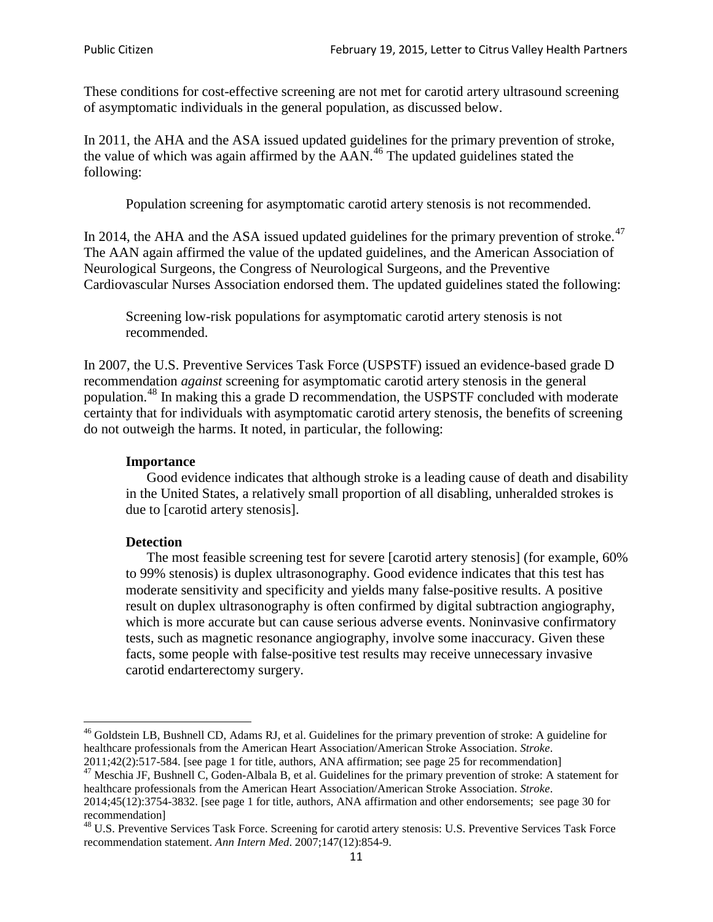These conditions for cost-effective screening are not met for carotid artery ultrasound screening of asymptomatic individuals in the general population, as discussed below.

In 2011, the AHA and the ASA issued updated guidelines for the primary prevention of stroke, the value of which was again affirmed by the  $AAN<sup>46</sup>$  $AAN<sup>46</sup>$  $AAN<sup>46</sup>$ . The updated guidelines stated the following:

Population screening for asymptomatic carotid artery stenosis is not recommended.

In 2014, the AHA and the ASA issued updated guidelines for the primary prevention of stroke.<sup>47</sup> The AAN again affirmed the value of the updated guidelines, and the American Association of Neurological Surgeons, the Congress of Neurological Surgeons, and the Preventive Cardiovascular Nurses Association endorsed them. The updated guidelines stated the following:

Screening low-risk populations for asymptomatic carotid artery stenosis is not recommended.

In 2007, the U.S. Preventive Services Task Force (USPSTF) issued an evidence-based grade D recommendation *against* screening for asymptomatic carotid artery stenosis in the general population.[48](#page-10-2) In making this a grade D recommendation, the USPSTF concluded with moderate certainty that for individuals with asymptomatic carotid artery stenosis, the benefits of screening do not outweigh the harms. It noted, in particular, the following:

#### **Importance**

Good evidence indicates that although stroke is a leading cause of death and disability in the United States, a relatively small proportion of all disabling, unheralded strokes is due to [carotid artery stenosis].

#### **Detection**

The most feasible screening test for severe [carotid artery stenosis] (for example, 60% to 99% stenosis) is duplex ultrasonography. Good evidence indicates that this test has moderate sensitivity and specificity and yields many false-positive results. A positive result on duplex ultrasonography is often confirmed by digital subtraction angiography, which is more accurate but can cause serious adverse events. Noninvasive confirmatory tests, such as magnetic resonance angiography, involve some inaccuracy. Given these facts, some people with false-positive test results may receive unnecessary invasive carotid endarterectomy surgery.

<span id="page-10-0"></span><sup>&</sup>lt;sup>46</sup> Goldstein LB, Bushnell CD, Adams RJ, et al. Guidelines for the primary prevention of stroke: A guideline for healthcare professionals from the American Heart Association/American Stroke Association. *Stroke*.<br>2011;42(2):517-584. [see page 1 for title, authors, ANA affirmation; see page 25 for recommendation]

<span id="page-10-1"></span><sup>&</sup>lt;sup>47</sup> Meschia JF, Bushnell C, Goden-Albala B, et al. Guidelines for the primary prevention of stroke: A statement for healthcare professionals from the American Heart Association/American Stroke Association. *Stroke*. 2014;45(12):3754-3832. [see page 1 for title, authors, ANA affirmation and other endorsements; see page 30 for

recommendation] <sup>48</sup> U.S. Preventive Services Task Force. Screening for carotid artery stenosis: U.S. Preventive Services Task Force

<span id="page-10-2"></span>recommendation statement. *Ann Intern Med*. 2007;147(12):854-9.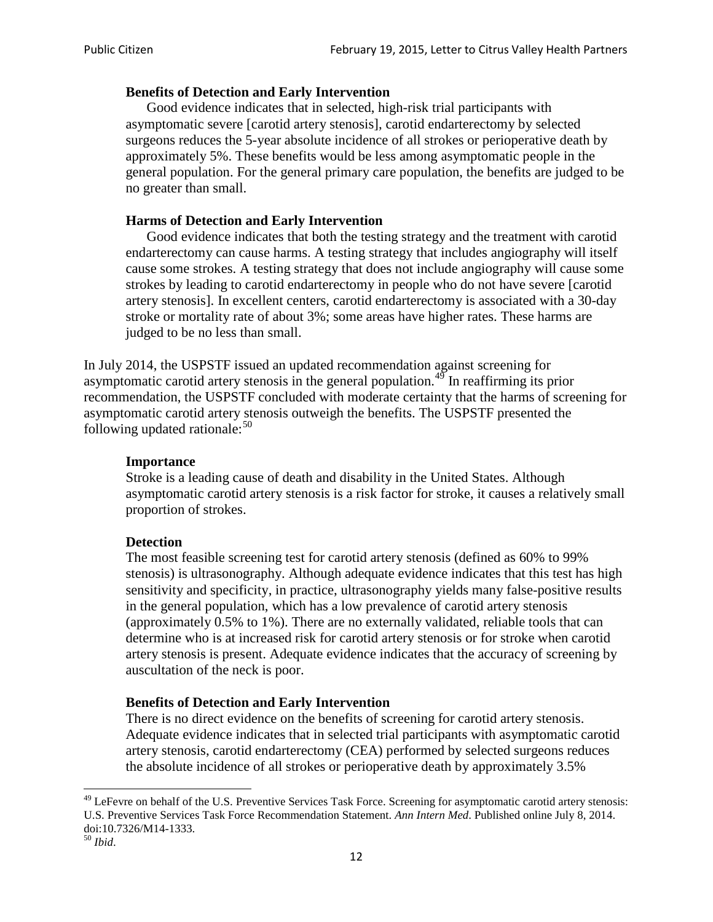### **Benefits of Detection and Early Intervention**

Good evidence indicates that in selected, high-risk trial participants with asymptomatic severe [carotid artery stenosis], carotid endarterectomy by selected surgeons reduces the 5-year absolute incidence of all strokes or perioperative death by approximately 5%. These benefits would be less among asymptomatic people in the general population. For the general primary care population, the benefits are judged to be no greater than small.

### **Harms of Detection and Early Intervention**

Good evidence indicates that both the testing strategy and the treatment with carotid endarterectomy can cause harms. A testing strategy that includes angiography will itself cause some strokes. A testing strategy that does not include angiography will cause some strokes by leading to carotid endarterectomy in people who do not have severe [carotid artery stenosis]. In excellent centers, carotid endarterectomy is associated with a 30-day stroke or mortality rate of about 3%; some areas have higher rates. These harms are judged to be no less than small.

In July 2014, the USPSTF issued an updated recommendation against screening for asymptomatic carotid artery stenosis in the general population.<sup>[49](#page-11-0)</sup> In reaffirming its prior recommendation, the USPSTF concluded with moderate certainty that the harms of screening for asymptomatic carotid artery stenosis outweigh the benefits. The USPSTF presented the following updated rationale: $50$ 

#### **Importance**

Stroke is a leading cause of death and disability in the United States. Although asymptomatic carotid artery stenosis is a risk factor for stroke, it causes a relatively small proportion of strokes.

#### **Detection**

The most feasible screening test for carotid artery stenosis (defined as 60% to 99% stenosis) is ultrasonography. Although adequate evidence indicates that this test has high sensitivity and specificity, in practice, ultrasonography yields many false-positive results in the general population, which has a low prevalence of carotid artery stenosis (approximately 0.5% to 1%). There are no externally validated, reliable tools that can determine who is at increased risk for carotid artery stenosis or for stroke when carotid artery stenosis is present. Adequate evidence indicates that the accuracy of screening by auscultation of the neck is poor.

## **Benefits of Detection and Early Intervention**

There is no direct evidence on the benefits of screening for carotid artery stenosis. Adequate evidence indicates that in selected trial participants with asymptomatic carotid artery stenosis, carotid endarterectomy (CEA) performed by selected surgeons reduces the absolute incidence of all strokes or perioperative death by approximately 3.5%

<span id="page-11-0"></span><sup>&</sup>lt;sup>49</sup> LeFevre on behalf of the U.S. Preventive Services Task Force. Screening for asymptomatic carotid artery stenosis: U.S. Preventive Services Task Force Recommendation Statement. *Ann Intern Med*. Published online July 8, 2014. doi:10.7326/M14-1333. <sup>50</sup> *Ibid*.

<span id="page-11-1"></span>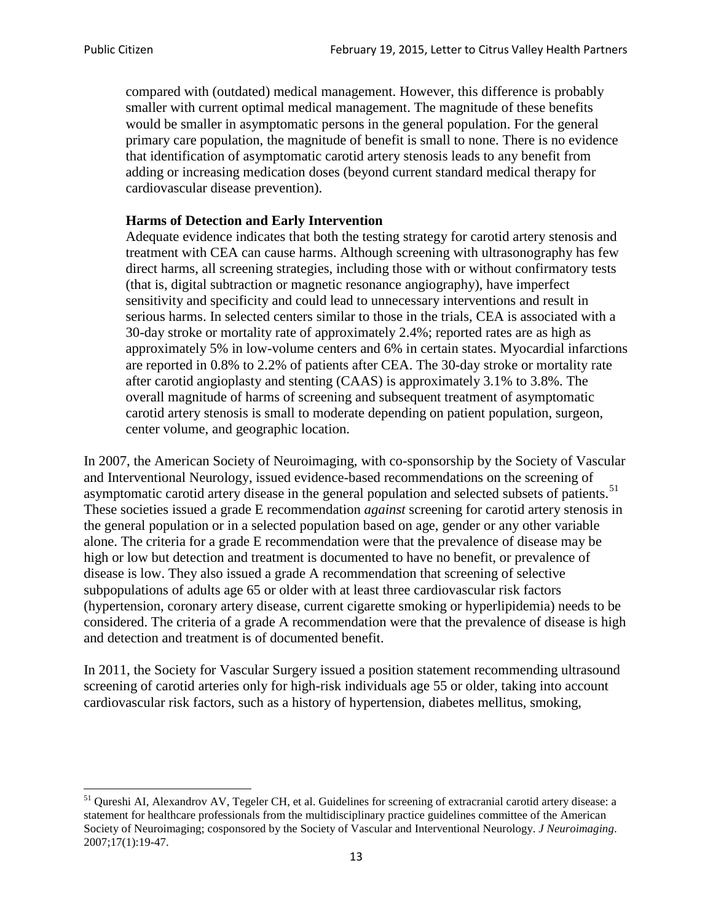compared with (outdated) medical management. However, this difference is probably smaller with current optimal medical management. The magnitude of these benefits would be smaller in asymptomatic persons in the general population. For the general primary care population, the magnitude of benefit is small to none. There is no evidence that identification of asymptomatic carotid artery stenosis leads to any benefit from adding or increasing medication doses (beyond current standard medical therapy for cardiovascular disease prevention).

#### **Harms of Detection and Early Intervention**

Adequate evidence indicates that both the testing strategy for carotid artery stenosis and treatment with CEA can cause harms. Although screening with ultrasonography has few direct harms, all screening strategies, including those with or without confirmatory tests (that is, digital subtraction or magnetic resonance angiography), have imperfect sensitivity and specificity and could lead to unnecessary interventions and result in serious harms. In selected centers similar to those in the trials, CEA is associated with a 30-day stroke or mortality rate of approximately 2.4%; reported rates are as high as approximately 5% in low-volume centers and 6% in certain states. Myocardial infarctions are reported in 0.8% to 2.2% of patients after CEA. The 30-day stroke or mortality rate after carotid angioplasty and stenting (CAAS) is approximately 3.1% to 3.8%. The overall magnitude of harms of screening and subsequent treatment of asymptomatic carotid artery stenosis is small to moderate depending on patient population, surgeon, center volume, and geographic location.

In 2007, the American Society of Neuroimaging, with co-sponsorship by the Society of Vascular and Interventional Neurology, issued evidence-based recommendations on the screening of asymptomatic carotid artery disease in the general population and selected subsets of patients.<sup>[51](#page-12-0)</sup> These societies issued a grade E recommendation *against* screening for carotid artery stenosis in the general population or in a selected population based on age, gender or any other variable alone. The criteria for a grade E recommendation were that the prevalence of disease may be high or low but detection and treatment is documented to have no benefit, or prevalence of disease is low. They also issued a grade A recommendation that screening of selective subpopulations of adults age 65 or older with at least three cardiovascular risk factors (hypertension, coronary artery disease, current cigarette smoking or hyperlipidemia) needs to be considered. The criteria of a grade A recommendation were that the prevalence of disease is high and detection and treatment is of documented benefit.

In 2011, the Society for Vascular Surgery issued a position statement recommending ultrasound screening of carotid arteries only for high-risk individuals age 55 or older, taking into account cardiovascular risk factors, such as a history of hypertension, diabetes mellitus, smoking,

<span id="page-12-0"></span><sup>&</sup>lt;sup>51</sup> Qureshi AI, Alexandrov AV, Tegeler CH, et al. Guidelines for screening of extracranial carotid artery disease: a statement for healthcare professionals from the multidisciplinary practice guidelines committee of the American Society of Neuroimaging; cosponsored by the Society of Vascular and Interventional Neurology. *J Neuroimaging*. 2007;17(1):19-47.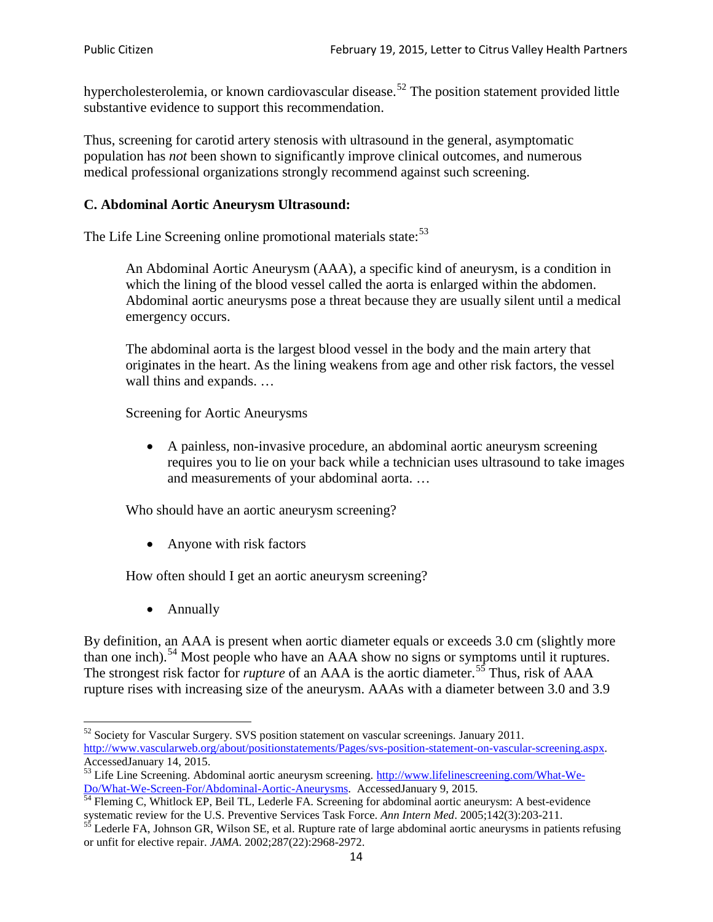hypercholesterolemia, or known cardiovascular disease.<sup>[52](#page-13-0)</sup> The position statement provided little substantive evidence to support this recommendation.

Thus, screening for carotid artery stenosis with ultrasound in the general, asymptomatic population has *not* been shown to significantly improve clinical outcomes, and numerous medical professional organizations strongly recommend against such screening.

### **C. Abdominal Aortic Aneurysm Ultrasound:**

The Life Line Screening online promotional materials state:<sup>[53](#page-13-1)</sup>

An Abdominal Aortic Aneurysm (AAA), a specific kind of aneurysm, is a condition in which the lining of the blood vessel called the aorta is enlarged within the abdomen. Abdominal aortic aneurysms pose a threat because they are usually silent until a medical emergency occurs.

The abdominal aorta is the largest blood vessel in the body and the main artery that originates in the heart. As the lining weakens from age and other risk factors, the vessel wall thins and expands. …

Screening for Aortic Aneurysms

• A painless, non-invasive procedure, an abdominal aortic aneurysm screening requires you to lie on your back while a technician uses ultrasound to take images and measurements of your abdominal aorta. …

Who should have an aortic aneurysm screening?

• Anyone with risk factors

How often should I get an aortic aneurysm screening?

• Annually

By definition, an AAA is present when aortic diameter equals or exceeds 3.0 cm (slightly more than one inch).<sup>[54](#page-13-2)</sup> Most people who have an AAA show no signs or symptoms until it ruptures. The strongest risk factor for *rupture* of an AAA is the aortic diameter.<sup>[55](#page-13-3)</sup> Thus, risk of AAA rupture rises with increasing size of the aneurysm. AAAs with a diameter between 3.0 and 3.9

<span id="page-13-0"></span> $52$  Society for Vascular Surgery. SVS position statement on vascular screenings. January 2011. http://www.vascularweb.org/about/positionstatements/Pages/svs-position-statement-on-vascular-screening.aspx.<br>Accessed January 14, 2015.

<span id="page-13-1"></span>Accessed January 14, 2015.<br>
Sa Life Line Screening. Abdominal aortic aneurysm screening. http://www.lifelinescreening.com/What-We-<br>
Do/What-We-Screen-For/Abdominal-Aortic-Aneurysms. Accessed January 9, 2015.

<span id="page-13-2"></span> $\frac{1}{54}$  Fleming C, Whitlock EP, Beil TL, Lederle FA. Screening for abdominal aortic aneurysm: A best-evidence systematic review for the U.S. Preventive Services Task Force. *Ann Intern Med.* 2005;142(3):203-211.<br><sup>55</sup> Lederle FA, Johnson GR, Wilson SE, et al. Rupture rate of large abdominal aortic aneurysms in patients refusing

<span id="page-13-3"></span>or unfit for elective repair. *JAMA*. 2002;287(22):2968-2972.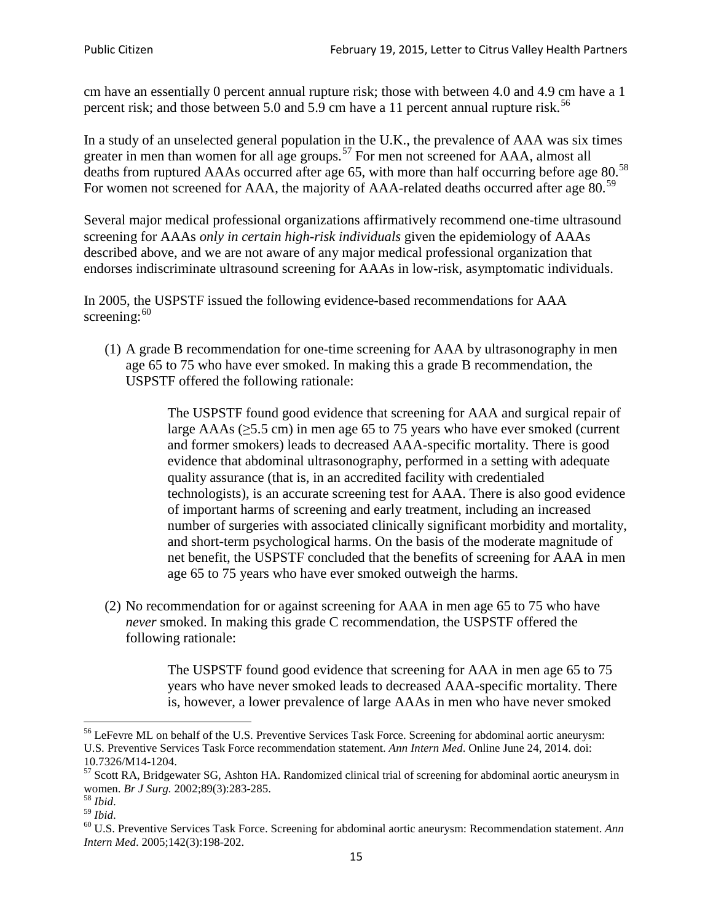cm have an essentially 0 percent annual rupture risk; those with between 4.0 and 4.9 cm have a 1 percent risk; and those between 5.0 and 5.9 cm have a 11 percent annual rupture risk.<sup>[56](#page-14-0)</sup>

In a study of an unselected general population in the U.K., the prevalence of AAA was six times greater in men than women for all age groups.<sup>[57](#page-14-1)</sup> For men not screened for  $AAA$ , almost all deaths from ruptured AAAs occurred after age 65, with more than half occurring before age 80.<sup>[58](#page-14-2)</sup> For women not screened for AAA, the majority of AAA-related deaths occurred after age 80.<sup>[59](#page-14-3)</sup>

Several major medical professional organizations affirmatively recommend one-time ultrasound screening for AAAs *only in certain high-risk individuals* given the epidemiology of AAAs described above, and we are not aware of any major medical professional organization that endorses indiscriminate ultrasound screening for AAAs in low-risk, asymptomatic individuals.

In 2005, the USPSTF issued the following evidence-based recommendations for AAA screening:  $60$ 

(1) A grade B recommendation for one-time screening for AAA by ultrasonography in men age 65 to 75 who have ever smoked. In making this a grade [B recommendation,](http://www.uspreventiveservicestaskforce.org/uspstf/gradespre.htm#brec) the USPSTF offered the following rationale:

> The USPSTF found good evidence that screening for AAA and surgical repair of large AAAs ( $\geq$ 5.5 cm) in men age 65 to 75 years who have ever smoked (current and former smokers) leads to decreased AAA-specific mortality. There is good evidence that abdominal ultrasonography, performed in a setting with adequate quality assurance (that is, in an accredited facility with credentialed technologists), is an accurate screening test for AAA. There is also good evidence of important harms of screening and early treatment, including an increased number of surgeries with associated clinically significant morbidity and mortality, and short-term psychological harms. On the basis of the moderate magnitude of net benefit, the USPSTF concluded that the benefits of screening for AAA in men age 65 to 75 years who have ever smoked outweigh the harms.

(2) No recommendation for or against screening for AAA in men age 65 to 75 who have *never* smoked. In making this grade C recommendation, the USPSTF offered the following rationale:

> The USPSTF found good evidence that screening for AAA in men age 65 to 75 years who have never smoked leads to decreased AAA-specific mortality. There is, however, a lower prevalence of large AAAs in men who have never smoked

<span id="page-14-0"></span><sup>&</sup>lt;sup>56</sup> LeFevre ML on behalf of the U.S. Preventive Services Task Force. Screening for abdominal aortic aneurysm: U.S. Preventive Services Task Force recommendation statement. *Ann Intern Med*. Online June 24, 2014. doi:

<span id="page-14-1"></span><sup>10.7326/</sup>M14-1204.<br> $57$  Scott RA, Bridgewater SG, Ashton HA. Randomized clinical trial of screening for abdominal aortic aneurysm in women. *Br J Surg.* 2002;89(3):283-285.

<span id="page-14-4"></span><span id="page-14-3"></span>

<span id="page-14-2"></span><sup>&</sup>lt;sup>58</sup> *Ibid.*<br><sup>59</sup> *Ibid.* 2002;<br><sup>60</sup> U.S. Preventive Services Task Force. Screening for abdominal aortic aneurysm: Recommendation statement. *Ann Intern Med*. 2005;142(3):198-202.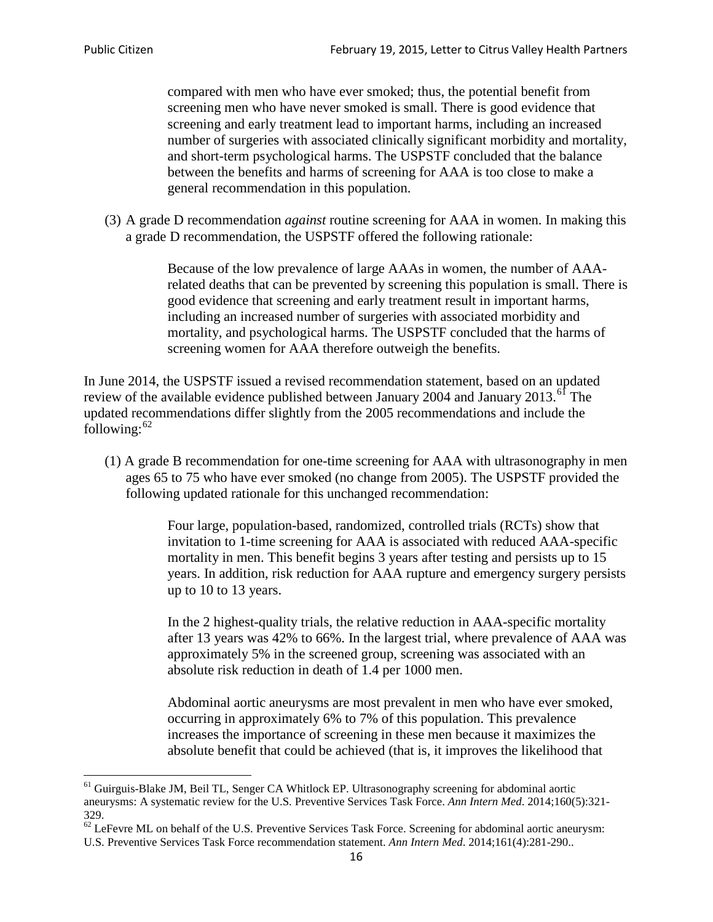compared with men who have ever smoked; thus, the potential benefit from screening men who have never smoked is small. There is good evidence that screening and early treatment lead to important harms, including an increased number of surgeries with associated clinically significant morbidity and mortality, and short-term psychological harms. The USPSTF concluded that the balance between the benefits and harms of screening for AAA is too close to make a general recommendation in this population.

(3) A grade D recommendation *against* routine screening for AAA in women. In making this a grade D recommendation, the USPSTF offered the following rationale:

> Because of the low prevalence of large AAAs in women, the number of AAArelated deaths that can be prevented by screening this population is small. There is good evidence that screening and early treatment result in important harms, including an increased number of surgeries with associated morbidity and mortality, and psychological harms. The USPSTF concluded that the harms of screening women for AAA therefore outweigh the benefits.

In June 2014, the USPSTF issued a revised recommendation statement, based on an updated review of the available evidence published between January 2004 and January 2013.<sup>[61](#page-15-0)</sup> The updated recommendations differ slightly from the 2005 recommendations and include the following: $62$ 

(1) A grade B recommendation for one-time screening for AAA with ultrasonography in men ages 65 to 75 who have ever smoked (no change from 2005). The USPSTF provided the following updated rationale for this unchanged recommendation:

> Four large, population-based, randomized, controlled trials (RCTs) show that invitation to 1-time screening for AAA is associated with reduced AAA-specific mortality in men. This benefit begins 3 years after testing and persists up to 15 years. In addition, risk reduction for AAA rupture and emergency surgery persists up to 10 to 13 years.

> In the 2 highest-quality trials, the relative reduction in AAA-specific mortality after 13 years was 42% to 66%. In the largest trial, where prevalence of AAA was approximately 5% in the screened group, screening was associated with an absolute risk reduction in death of 1.4 per 1000 men.

Abdominal aortic aneurysms are most prevalent in men who have ever smoked, occurring in approximately 6% to 7% of this population. This prevalence increases the importance of screening in these men because it maximizes the absolute benefit that could be achieved (that is, it improves the likelihood that

<span id="page-15-0"></span><sup>61</sup> Guirguis-Blake JM, Beil TL, Senger CA Whitlock EP. Ultrasonography screening for abdominal aortic aneurysms: A systematic review for the U.S. Preventive Services Task Force. *Ann Intern Med*. 2014;160(5):321- 329.

<span id="page-15-1"></span> $62$  LeFevre ML on behalf of the U.S. Preventive Services Task Force. Screening for abdominal aortic aneurysm: U.S. Preventive Services Task Force recommendation statement. *Ann Intern Med*. 2014;161(4):281-290..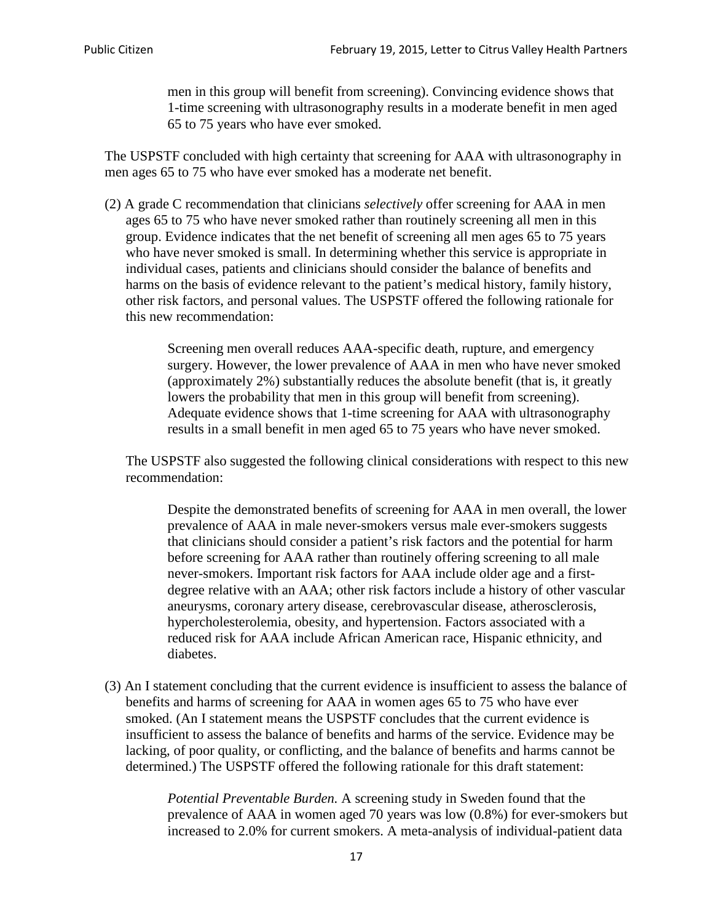men in this group will benefit from screening). Convincing evidence shows that 1-time screening with ultrasonography results in a moderate benefit in men aged 65 to 75 years who have ever smoked.

The USPSTF concluded with high certainty that screening for AAA with ultrasonography in men ages 65 to 75 who have ever smoked has a moderate net benefit.

(2) A grade C recommendation that clinicians *selectively* offer screening for AAA in men ages 65 to 75 who have never smoked rather than routinely screening all men in this group. Evidence indicates that the net benefit of screening all men ages 65 to 75 years who have never smoked is small. In determining whether this service is appropriate in individual cases, patients and clinicians should consider the balance of benefits and harms on the basis of evidence relevant to the patient's medical history, family history, other risk factors, and personal values. The USPSTF offered the following rationale for this new recommendation:

> Screening men overall reduces AAA-specific death, rupture, and emergency surgery. However, the lower prevalence of AAA in men who have never smoked (approximately 2%) substantially reduces the absolute benefit (that is, it greatly lowers the probability that men in this group will benefit from screening). Adequate evidence shows that 1-time screening for AAA with ultrasonography results in a small benefit in men aged 65 to 75 years who have never smoked.

The USPSTF also suggested the following clinical considerations with respect to this new recommendation:

Despite the demonstrated benefits of screening for AAA in men overall, the lower prevalence of AAA in male never-smokers versus male ever-smokers suggests that clinicians should consider a patient's risk factors and the potential for harm before screening for AAA rather than routinely offering screening to all male never-smokers. Important risk factors for AAA include older age and a firstdegree relative with an AAA; other risk factors include a history of other vascular aneurysms, coronary artery disease, cerebrovascular disease, atherosclerosis, hypercholesterolemia, obesity, and hypertension. Factors associated with a reduced risk for AAA include African American race, Hispanic ethnicity, and diabetes.

(3) An I statement concluding that the current evidence is insufficient to assess the balance of benefits and harms of screening for AAA in women ages 65 to 75 who have ever smoked. (An I statement means the USPSTF concludes that the current evidence is insufficient to assess the balance of benefits and harms of the service. Evidence may be lacking, of poor quality, or conflicting, and the balance of benefits and harms cannot be determined.) The USPSTF offered the following rationale for this draft statement:

> *Potential Preventable Burden.* A screening study in Sweden found that the prevalence of AAA in women aged 70 years was low (0.8%) for ever-smokers but increased to 2.0% for current smokers. A meta-analysis of individual-patient data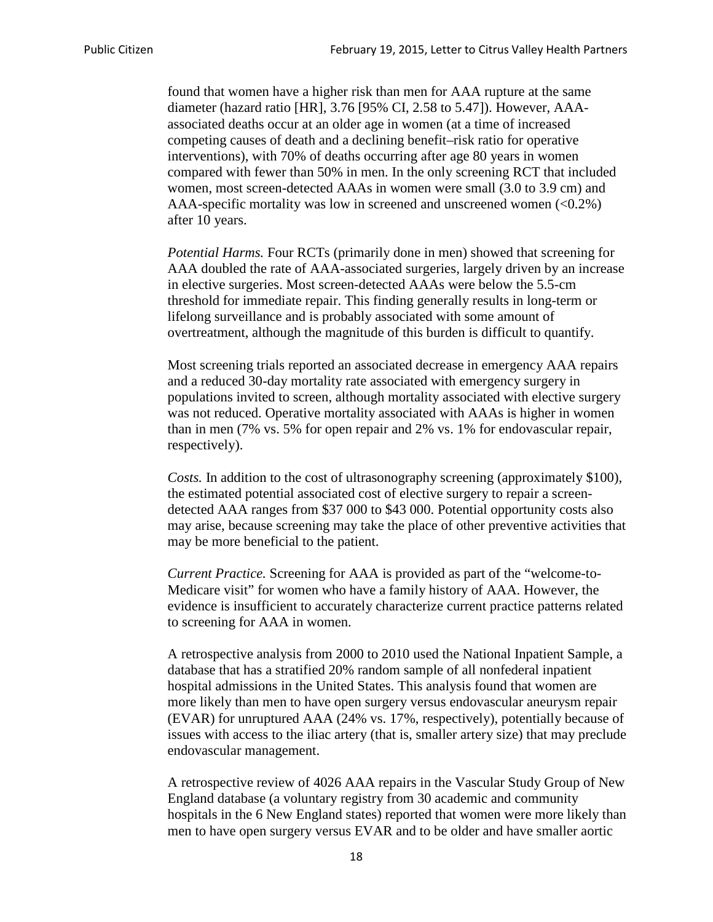found that women have a higher risk than men for AAA rupture at the same diameter (hazard ratio [HR], 3.76 [95% CI, 2.58 to 5.47]). However, AAAassociated deaths occur at an older age in women (at a time of increased competing causes of death and a declining benefit–risk ratio for operative interventions), with 70% of deaths occurring after age 80 years in women compared with fewer than 50% in men. In the only screening RCT that included women, most screen-detected AAAs in women were small (3.0 to 3.9 cm) and AAA-specific mortality was low in screened and unscreened women  $(<0.2\%)$ after 10 years.

*Potential Harms.* Four RCTs (primarily done in men) showed that screening for AAA doubled the rate of AAA-associated surgeries, largely driven by an increase in elective surgeries. Most screen-detected AAAs were below the 5.5-cm threshold for immediate repair. This finding generally results in long-term or lifelong surveillance and is probably associated with some amount of overtreatment, although the magnitude of this burden is difficult to quantify.

Most screening trials reported an associated decrease in emergency AAA repairs and a reduced 30-day mortality rate associated with emergency surgery in populations invited to screen, although mortality associated with elective surgery was not reduced. Operative mortality associated with AAAs is higher in women than in men (7% vs. 5% for open repair and 2% vs. 1% for endovascular repair, respectively).

*Costs.* In addition to the cost of ultrasonography screening (approximately \$100), the estimated potential associated cost of elective surgery to repair a screendetected AAA ranges from \$37 000 to \$43 000. Potential opportunity costs also may arise, because screening may take the place of other preventive activities that may be more beneficial to the patient.

*Current Practice.* Screening for AAA is provided as part of the "welcome-to-Medicare visit" for women who have a family history of AAA. However, the evidence is insufficient to accurately characterize current practice patterns related to screening for AAA in women.

A retrospective analysis from 2000 to 2010 used the National Inpatient Sample, a database that has a stratified 20% random sample of all nonfederal inpatient hospital admissions in the United States. This analysis found that women are more likely than men to have open surgery versus endovascular aneurysm repair (EVAR) for unruptured AAA (24% vs. 17%, respectively), potentially because of issues with access to the iliac artery (that is, smaller artery size) that may preclude endovascular management.

A retrospective review of 4026 AAA repairs in the Vascular Study Group of New England database (a voluntary registry from 30 academic and community hospitals in the 6 New England states) reported that women were more likely than men to have open surgery versus EVAR and to be older and have smaller aortic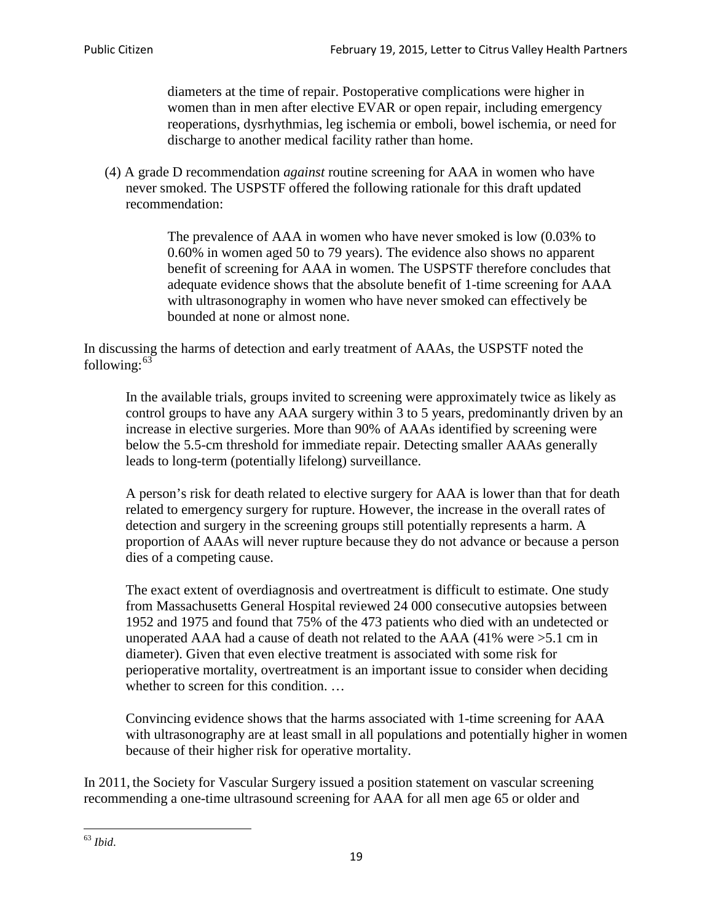diameters at the time of repair. Postoperative complications were higher in women than in men after elective EVAR or open repair, including emergency reoperations, dysrhythmias, leg ischemia or emboli, bowel ischemia, or need for discharge to another medical facility rather than home.

(4) A grade D recommendation *against* routine screening for AAA in women who have never smoked. The USPSTF offered the following rationale for this draft updated recommendation:

> The prevalence of AAA in women who have never smoked is low (0.03% to 0.60% in women aged 50 to 79 years). The evidence also shows no apparent benefit of screening for AAA in women. The USPSTF therefore concludes that adequate evidence shows that the absolute benefit of 1-time screening for AAA with ultrasonography in women who have never smoked can effectively be bounded at none or almost none.

In discussing the harms of detection and early treatment of AAAs, the USPSTF noted the following: $63$ 

In the available trials, groups invited to screening were approximately twice as likely as control groups to have any AAA surgery within 3 to 5 years, predominantly driven by an increase in elective surgeries. More than 90% of AAAs identified by screening were below the 5.5-cm threshold for immediate repair. Detecting smaller AAAs generally leads to long-term (potentially lifelong) surveillance.

A person's risk for death related to elective surgery for AAA is lower than that for death related to emergency surgery for rupture. However, the increase in the overall rates of detection and surgery in the screening groups still potentially represents a harm. A proportion of AAAs will never rupture because they do not advance or because a person dies of a competing cause.

The exact extent of overdiagnosis and overtreatment is difficult to estimate. One study from Massachusetts General Hospital reviewed 24 000 consecutive autopsies between 1952 and 1975 and found that 75% of the 473 patients who died with an undetected or unoperated AAA had a cause of death not related to the AAA (41% were >5.1 cm in diameter). Given that even elective treatment is associated with some risk for perioperative mortality, overtreatment is an important issue to consider when deciding whether to screen for this condition....

Convincing evidence shows that the harms associated with 1-time screening for AAA with ultrasonography are at least small in all populations and potentially higher in women because of their higher risk for operative mortality.

In 2011, the Society for Vascular Surgery issued a position statement on vascular screening recommending a one-time ultrasound screening for AAA for all men age 65 or older and

<span id="page-18-0"></span><sup>63</sup> *Ibid*.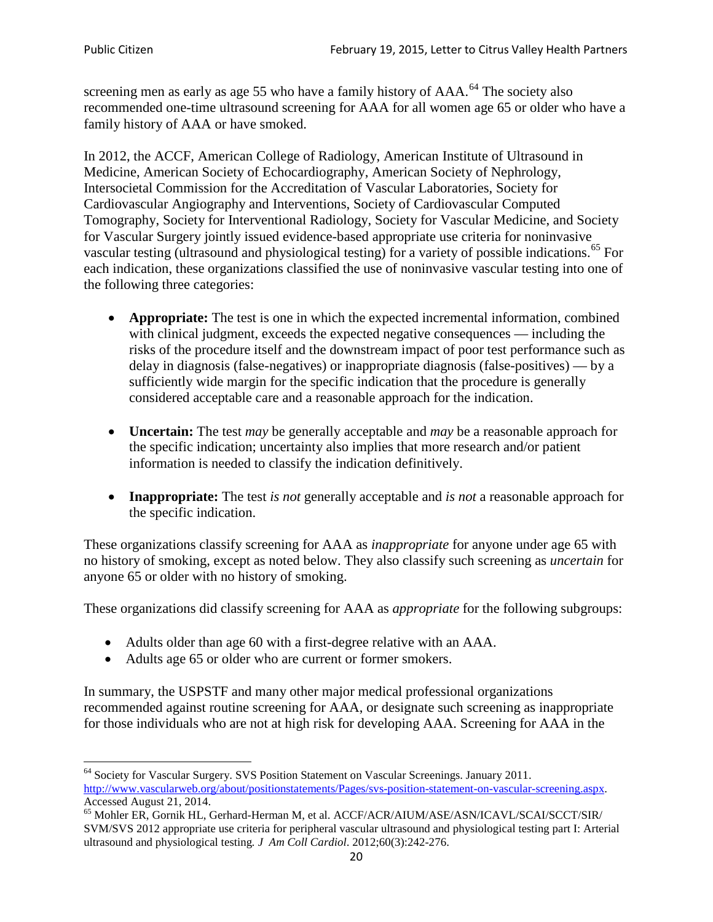screening men as early as age 55 who have a family history of AAA.<sup>[64](#page-19-0)</sup> The society also recommended one-time ultrasound screening for AAA for all women age 65 or older who have a family history of AAA or have smoked.

In 2012, the ACCF, American College of Radiology, American Institute of Ultrasound in Medicine, American Society of Echocardiography, American Society of Nephrology, Intersocietal Commission for the Accreditation of Vascular Laboratories, Society for Cardiovascular Angiography and Interventions, Society of Cardiovascular Computed Tomography, Society for Interventional Radiology, Society for Vascular Medicine, and Society for Vascular Surgery jointly issued evidence-based appropriate use criteria for noninvasive vascular testing (ultrasound and physiological testing) for a variety of possible indications.<sup>[65](#page-19-1)</sup> For each indication, these organizations classified the use of noninvasive vascular testing into one of the following three categories:

- **Appropriate:** The test is one in which the expected incremental information, combined with clinical judgment, exceeds the expected negative consequences — including the risks of the procedure itself and the downstream impact of poor test performance such as delay in diagnosis (false-negatives) or inappropriate diagnosis (false-positives) — by a sufficiently wide margin for the specific indication that the procedure is generally considered acceptable care and a reasonable approach for the indication.
- **Uncertain:** The test *may* be generally acceptable and *may* be a reasonable approach for the specific indication; uncertainty also implies that more research and/or patient information is needed to classify the indication definitively.
- **Inappropriate:** The test *is not* generally acceptable and *is not* a reasonable approach for the specific indication.

These organizations classify screening for AAA as *inappropriate* for anyone under age 65 with no history of smoking, except as noted below. They also classify such screening as *uncertain* for anyone 65 or older with no history of smoking.

These organizations did classify screening for AAA as *appropriate* for the following subgroups:

- Adults older than age 60 with a first-degree relative with an AAA.
- Adults age 65 or older who are current or former smokers.

In summary, the USPSTF and many other major medical professional organizations recommended against routine screening for AAA, or designate such screening as inappropriate for those individuals who are not at high risk for developing AAA. Screening for AAA in the

<span id="page-19-0"></span><sup>64</sup> Society for Vascular Surgery. SVS Position Statement on Vascular Screenings. January 2011. [http://www.vascularweb.org/about/positionstatements/Pages/svs-position-statement-on-vascular-screening.aspx.](http://www.vascularweb.org/about/positionstatements/Pages/svs-position-statement-on-vascular-screening.aspx) 

<span id="page-19-1"></span>Accessed August 21, 2014.<br><sup>65</sup> Mohler ER, Gornik HL, Gerhard-Herman M, et al. ACCF/ACR/AIUM/ASE/ASN/ICAVL/SCAI/SCCT/SIR/ SVM/SVS 2012 appropriate use criteria for peripheral vascular ultrasound and physiological testing part I: Arterial ultrasound and physiological testing*. J Am Coll Cardiol*. 2012;60(3):242-276.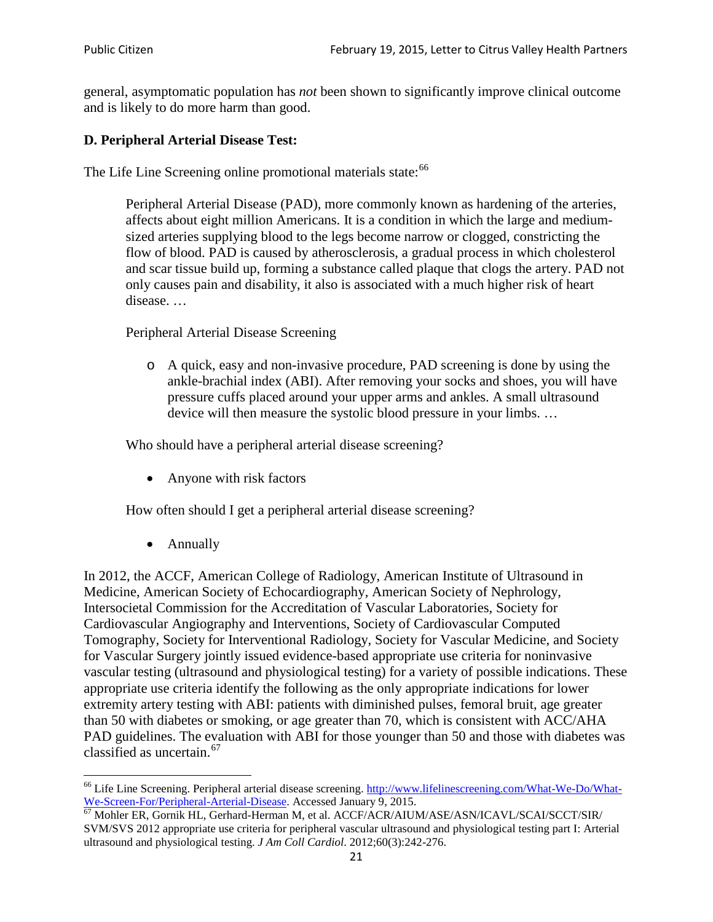general, asymptomatic population has *not* been shown to significantly improve clinical outcome and is likely to do more harm than good.

### **D. Peripheral Arterial Disease Test:**

The Life Line Screening online promotional materials state:<sup>[66](#page-20-0)</sup>

Peripheral Arterial Disease (PAD), more commonly known as hardening of the arteries, affects about eight million Americans. It is a condition in which the large and mediumsized arteries supplying blood to the legs become narrow or clogged, constricting the flow of blood. PAD is caused by atherosclerosis, a gradual process in which cholesterol and scar tissue build up, forming a substance called plaque that clogs the artery. PAD not only causes pain and disability, it also is associated with a much higher risk of heart disease. …

Peripheral Arterial Disease Screening

o A quick, easy and non-invasive procedure, PAD screening is done by using the ankle-brachial index (ABI). After removing your socks and shoes, you will have pressure cuffs placed around your upper arms and ankles. A small ultrasound device will then measure the systolic blood pressure in your limbs. …

Who should have a peripheral arterial disease screening?

• Anyone with risk factors

How often should I get a peripheral arterial disease screening?

• Annually

In 2012, the ACCF, American College of Radiology, American Institute of Ultrasound in Medicine, American Society of Echocardiography, American Society of Nephrology, Intersocietal Commission for the Accreditation of Vascular Laboratories, Society for Cardiovascular Angiography and Interventions, Society of Cardiovascular Computed Tomography, Society for Interventional Radiology, Society for Vascular Medicine, and Society for Vascular Surgery jointly issued evidence-based appropriate use criteria for noninvasive vascular testing (ultrasound and physiological testing) for a variety of possible indications. These appropriate use criteria identify the following as the only appropriate indications for lower extremity artery testing with ABI: patients with diminished pulses, femoral bruit, age greater than 50 with diabetes or smoking, or age greater than 70, which is consistent with ACC/AHA PAD guidelines. The evaluation with ABI for those younger than 50 and those with diabetes was classified as uncertain.<sup>[67](#page-20-1)</sup>

<span id="page-20-0"></span><sup>&</sup>lt;sup>66</sup> Life Line Screening. Peripheral arterial disease screening. [http://www.lifelinescreening.com/What-We-Do/What-](http://www.lifelinescreening.com/What-We-Do/What-We-Screen-For/Peripheral-Arterial-Disease)[We-Screen-For/Peripheral-Arterial-Disease.](http://www.lifelinescreening.com/What-We-Do/What-We-Screen-For/Peripheral-Arterial-Disease) Accessed January 9, 2015.<br><sup>67</sup> Mohler ER, Gornik HL, Gerhard-Herman M, et al. ACCF/ACR/AIUM/ASE/ASN/ICAVL/SCAI/SCCT/SIR/

<span id="page-20-1"></span>SVM/SVS 2012 appropriate use criteria for peripheral vascular ultrasound and physiological testing part I: Arterial ultrasound and physiological testing. *J Am Coll Cardiol*. 2012;60(3):242-276.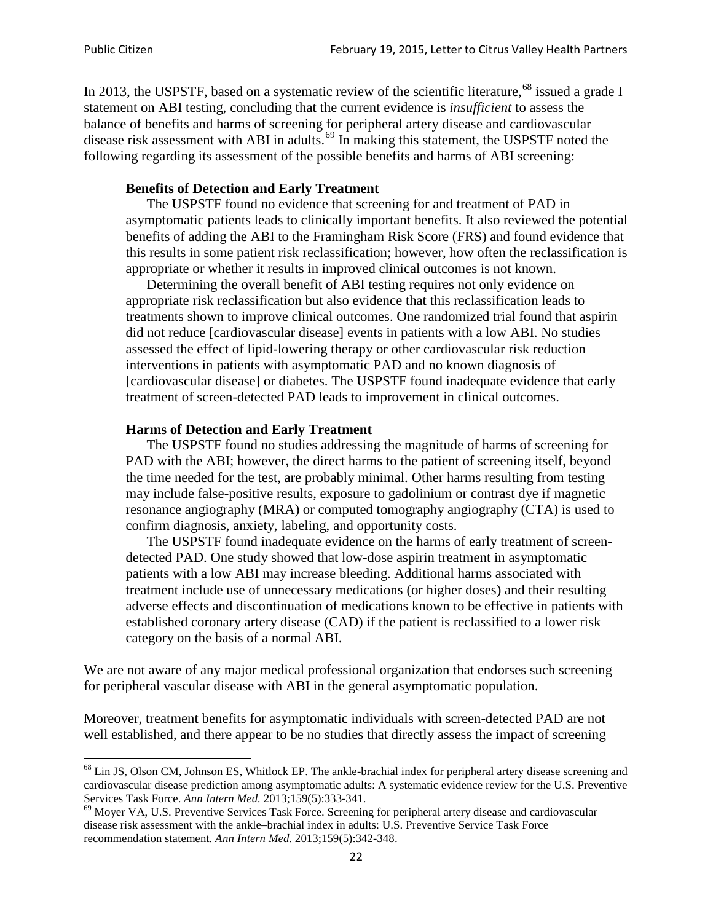In 2013, the USPSTF, based on a systematic review of the scientific literature,<sup>[68](#page-21-0)</sup> issued a grade I statement on ABI testing, concluding that the current evidence is *insufficient* to assess the balance of benefits and harms of screening for peripheral artery disease and cardiovascular disease risk assessment with ABI in adults.<sup>[69](#page-21-1)</sup> In making this statement, the USPSTF noted the following regarding its assessment of the possible benefits and harms of ABI screening:

#### **Benefits of Detection and Early Treatment**

The USPSTF found no evidence that screening for and treatment of PAD in asymptomatic patients leads to clinically important benefits. It also reviewed the potential benefits of adding the ABI to the Framingham Risk Score (FRS) and found evidence that this results in some patient risk reclassification; however, how often the reclassification is appropriate or whether it results in improved clinical outcomes is not known.

Determining the overall benefit of ABI testing requires not only evidence on appropriate risk reclassification but also evidence that this reclassification leads to treatments shown to improve clinical outcomes. One randomized trial found that aspirin did not reduce [cardiovascular disease] events in patients with a low ABI. No studies assessed the effect of lipid-lowering therapy or other cardiovascular risk reduction interventions in patients with asymptomatic PAD and no known diagnosis of [cardiovascular disease] or diabetes. The USPSTF found inadequate evidence that early treatment of screen-detected PAD leads to improvement in clinical outcomes.

#### **Harms of Detection and Early Treatment**

The USPSTF found no studies addressing the magnitude of harms of screening for PAD with the ABI; however, the direct harms to the patient of screening itself, beyond the time needed for the test, are probably minimal. Other harms resulting from testing may include false-positive results, exposure to gadolinium or contrast dye if magnetic resonance angiography (MRA) or computed tomography angiography (CTA) is used to confirm diagnosis, anxiety, labeling, and opportunity costs.

The USPSTF found inadequate evidence on the harms of early treatment of screendetected PAD. One study showed that low-dose aspirin treatment in asymptomatic patients with a low ABI may increase bleeding. Additional harms associated with treatment include use of unnecessary medications (or higher doses) and their resulting adverse effects and discontinuation of medications known to be effective in patients with established coronary artery disease (CAD) if the patient is reclassified to a lower risk category on the basis of a normal ABI.

We are not aware of any major medical professional organization that endorses such screening for peripheral vascular disease with ABI in the general asymptomatic population.

Moreover, treatment benefits for asymptomatic individuals with screen-detected PAD are not well established, and there appear to be no studies that directly assess the impact of screening

<span id="page-21-0"></span><sup>&</sup>lt;sup>68</sup> Lin JS, Olson CM, Johnson ES, Whitlock EP. The ankle-brachial index for peripheral artery disease screening and cardiovascular disease prediction among asymptomatic adults: A systematic evidence review for the U.S. Preventive Services Task Force. *Ann Intern Med.* 2013;159(5):333-341.<br><sup>69</sup> Moyer VA, U.S. Preventive Services Task Force. Screening for peripheral artery disease and cardiovascular

<span id="page-21-1"></span>disease risk assessment with the ankle–brachial index in adults: U.S. Preventive Service Task Force recommendation statement. *Ann Intern Med.* 2013;159(5):342-348.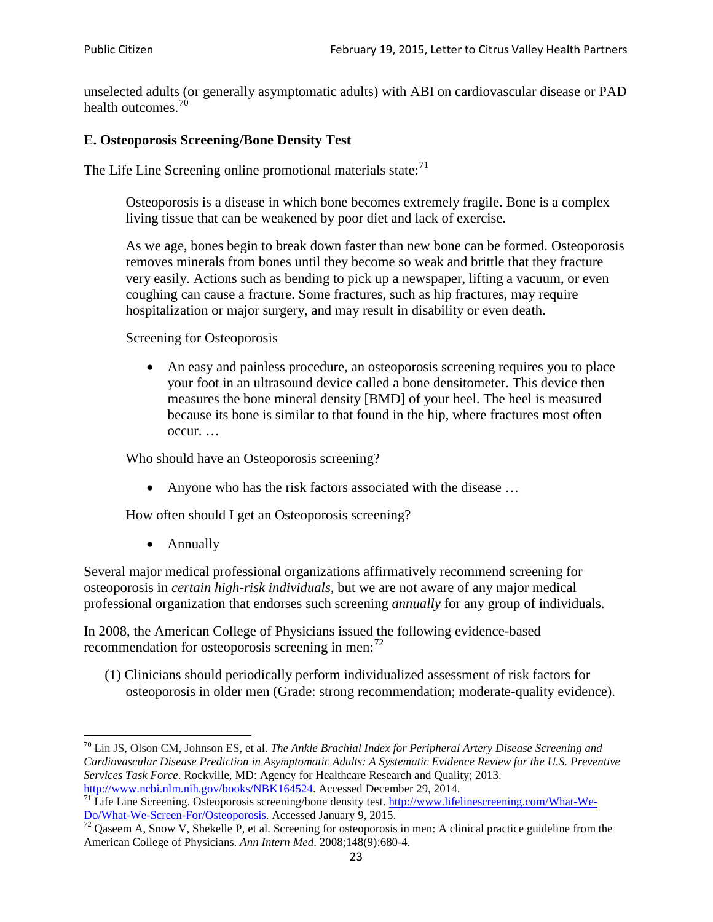unselected adults (or generally asymptomatic adults) with ABI on cardiovascular disease or PAD health outcomes.<sup>[70](#page-22-0)</sup>

### **E. Osteoporosis Screening/Bone Density Test**

The Life Line Screening online promotional materials state: $71$ 

Osteoporosis is a disease in which bone becomes extremely fragile. Bone is a complex living tissue that can be weakened by poor diet and lack of exercise.

As we age, bones begin to break down faster than new bone can be formed. Osteoporosis removes minerals from bones until they become so weak and brittle that they fracture very easily. Actions such as bending to pick up a newspaper, lifting a vacuum, or even coughing can cause a fracture. Some fractures, such as hip fractures, may require hospitalization or major surgery, and may result in disability or even death.

Screening for Osteoporosis

• An easy and painless procedure, an osteoporosis screening requires you to place your foot in an ultrasound device called a bone densitometer. This device then measures the bone mineral density [BMD] of your heel. The heel is measured because its bone is similar to that found in the hip, where fractures most often occur. …

Who should have an Osteoporosis screening?

• Anyone who has the risk factors associated with the disease ...

How often should I get an Osteoporosis screening?

• Annually

Several major medical professional organizations affirmatively recommend screening for osteoporosis in *certain high-risk individuals*, but we are not aware of any major medical professional organization that endorses such screening *annually* for any group of individuals.

In 2008, the American College of Physicians issued the following evidence-based recommendation for osteoporosis screening in men: $^{72}$  $^{72}$  $^{72}$ 

(1) Clinicians should periodically perform individualized assessment of risk factors for osteoporosis in older men (Grade: strong recommendation; moderate-quality evidence).

<span id="page-22-0"></span><sup>70</sup> [Lin JS,](http://www.ncbi.nlm.nih.gov/pubmed?term=Lin%20JS%5BAuthor%5D&cauthor=true&cauthor_uid=24156115) [Olson CM,](http://www.ncbi.nlm.nih.gov/pubmed?term=Olson%20CM%5BAuthor%5D&cauthor=true&cauthor_uid=24156115) [Johnson ES,](http://www.ncbi.nlm.nih.gov/pubmed?term=Johnson%20ES%5BAuthor%5D&cauthor=true&cauthor_uid=24156115) et al. *The Ankle Brachial Index for Peripheral Artery Disease Screening and Cardiovascular Disease Prediction in Asymptomatic Adults: A Systematic Evidence Review for the U.S. Preventive Services Task Force*. Rockville, MD: Agency for Healthcare Research and Quality; 2013.<br>http://www.ncbi.nlm.nih.gov/books/NBK164524. Accessed December 29, 2014.

<span id="page-22-1"></span> $\frac{1}{71}$  Life Line Screening. Osteoporosis screening/bone density test. [http://www.lifelinescreening.com/What-We-](http://www.lifelinescreening.com/What-We-Do/What-We-Screen-For/Osteoporosis)[Do/What-We-Screen-For/Osteoporosis.](http://www.lifelinescreening.com/What-We-Do/What-We-Screen-For/Osteoporosis) Accessed January 9, 2015. <sup>72</sup> Qaseem A, Snow V, Shekelle P, et al. Screening for osteoporosis in men: A clinical practice guideline from the

<span id="page-22-2"></span>American College of Physicians. *Ann Intern Med*. 2008;148(9):680-4.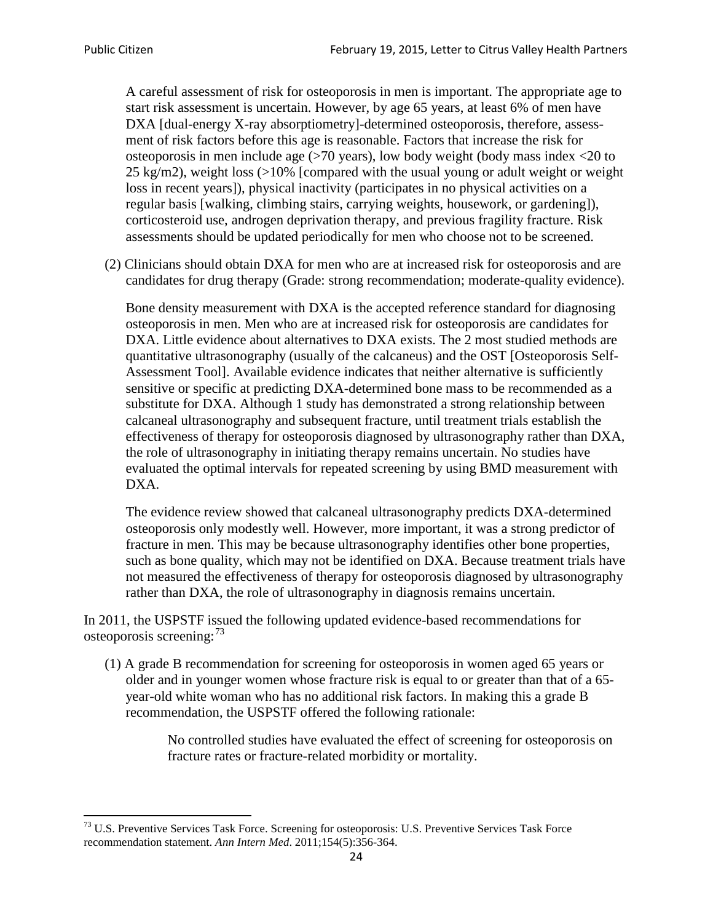A careful assessment of risk for osteoporosis in men is important. The appropriate age to start risk assessment is uncertain. However, by age 65 years, at least 6% of men have DXA [dual-energy X-ray absorptiometry]-determined osteoporosis, therefore, assessment of risk factors before this age is reasonable. Factors that increase the risk for osteoporosis in men include age (>70 years), low body weight (body mass index <20 to 25 kg/m2), weight loss  $\langle$  >10% [compared with the usual young or adult weight or weight loss in recent years]), physical inactivity (participates in no physical activities on a regular basis [walking, climbing stairs, carrying weights, housework, or gardening]), corticosteroid use, androgen deprivation therapy, and previous fragility fracture. Risk assessments should be updated periodically for men who choose not to be screened.

(2) Clinicians should obtain DXA for men who are at increased risk for osteoporosis and are candidates for drug therapy (Grade: strong recommendation; moderate-quality evidence).

Bone density measurement with DXA is the accepted reference standard for diagnosing osteoporosis in men. Men who are at increased risk for osteoporosis are candidates for DXA. Little evidence about alternatives to DXA exists. The 2 most studied methods are quantitative ultrasonography (usually of the calcaneus) and the OST [Osteoporosis Self-Assessment Tool]. Available evidence indicates that neither alternative is sufficiently sensitive or specific at predicting DXA-determined bone mass to be recommended as a substitute for DXA. Although 1 study has demonstrated a strong relationship between calcaneal ultrasonography and subsequent fracture, until treatment trials establish the effectiveness of therapy for osteoporosis diagnosed by ultrasonography rather than DXA, the role of ultrasonography in initiating therapy remains uncertain. No studies have evaluated the optimal intervals for repeated screening by using BMD measurement with DXA.

The evidence review showed that calcaneal ultrasonography predicts DXA-determined osteoporosis only modestly well. However, more important, it was a strong predictor of fracture in men. This may be because ultrasonography identifies other bone properties, such as bone quality, which may not be identified on DXA. Because treatment trials have not measured the effectiveness of therapy for osteoporosis diagnosed by ultrasonography rather than DXA, the role of ultrasonography in diagnosis remains uncertain.

In 2011, the USPSTF issued the following updated evidence-based recommendations for osteoporosis screening:<sup>[73](#page-23-0)</sup>

(1) A grade B recommendation for screening for osteoporosis in women aged 65 years or older and in younger women whose fracture risk is equal to or greater than that of a 65 year-old white woman who has no additional risk factors. In making this a grade B recommendation, the USPSTF offered the following rationale:

> No controlled studies have evaluated the effect of screening for osteoporosis on fracture rates or fracture-related morbidity or mortality.

<span id="page-23-0"></span><sup>&</sup>lt;sup>73</sup> U.S. Preventive Services Task Force. Screening for osteoporosis: U.S. Preventive Services Task Force recommendation statement. *Ann Intern Med*. 2011;154(5):356-364.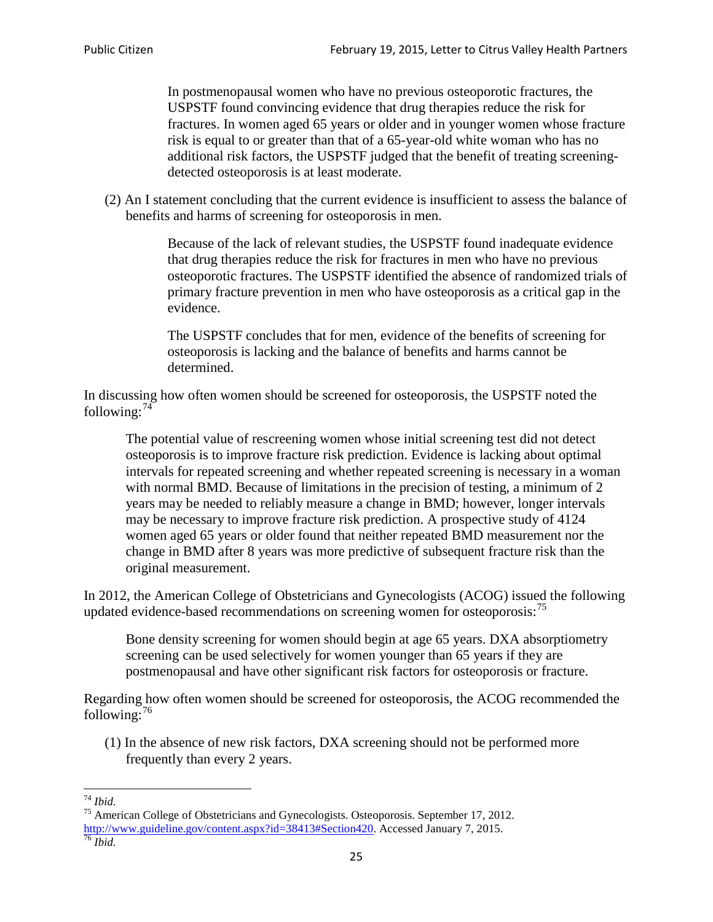In postmenopausal women who have no previous osteoporotic fractures, the USPSTF found convincing evidence that drug therapies reduce the risk for fractures. In women aged 65 years or older and in younger women whose fracture risk is equal to or greater than that of a 65-year-old white woman who has no additional risk factors, the USPSTF judged that the benefit of treating screeningdetected osteoporosis is at least moderate.

(2) An I statement concluding that the current evidence is insufficient to assess the balance of benefits and harms of screening for osteoporosis in men.

> Because of the lack of relevant studies, the USPSTF found inadequate evidence that drug therapies reduce the risk for fractures in men who have no previous osteoporotic fractures. The USPSTF identified the absence of randomized trials of primary fracture prevention in men who have osteoporosis as a critical gap in the evidence.

The USPSTF concludes that for men, evidence of the benefits of screening for osteoporosis is lacking and the balance of benefits and harms cannot be determined.

In discussing how often women should be screened for osteoporosis, the USPSTF noted the following: $74$ 

The potential value of rescreening women whose initial screening test did not detect osteoporosis is to improve fracture risk prediction. Evidence is lacking about optimal intervals for repeated screening and whether repeated screening is necessary in a woman with normal BMD. Because of limitations in the precision of testing, a minimum of 2 years may be needed to reliably measure a change in BMD; however, longer intervals may be necessary to improve fracture risk prediction. A prospective study of 4124 women aged 65 years or older found that neither repeated BMD measurement nor the change in BMD after 8 years was more predictive of subsequent fracture risk than the original measurement.

In 2012, the American College of Obstetricians and Gynecologists (ACOG) issued the following updated evidence-based recommendations on screening women for osteoporosis:<sup>[75](#page-24-1)</sup>

Bone density screening for women should begin at age 65 years. DXA absorptiometry screening can be used selectively for women younger than 65 years if they are postmenopausal and have other significant risk factors for osteoporosis or fracture.

Regarding how often women should be screened for osteoporosis, the ACOG recommended the following: $^{76}$  $^{76}$  $^{76}$ 

(1) In the absence of new risk factors, DXA screening should not be performed more frequently than every 2 years.

<span id="page-24-2"></span><span id="page-24-1"></span><span id="page-24-0"></span><sup>74</sup> *Ibid.* <sup>75</sup> American College of Obstetricians and Gynecologists. Osteoporosis. September 17, 2012. [http://www.guideline.gov/content.aspx?id=38413#Section420.](http://www.guideline.gov/content.aspx?id=38413#Section420) Accessed January 7, 2015.<br><sup>76</sup> *Ibid.*